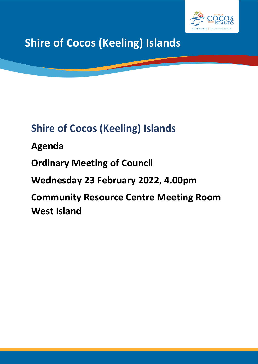

**Shire of Cocos (Keeling) Islands**

# **Shire of Cocos (Keeling) Islands**

**Agenda**

**Ordinary Meeting of Council**

**Wednesday 23 February 2022, 4.00pm**

**Community Resource Centre Meeting Room West Island**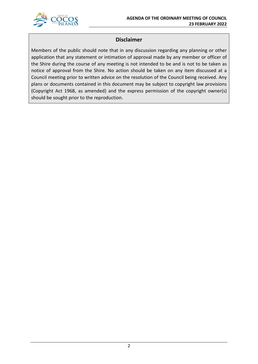

### **Disclaimer**

Members of the public should note that in any discussion regarding any planning or other application that any statement or intimation of approval made by any member or officer of the Shire during the course of any meeting is not intended to be and is not to be taken as notice of approval from the Shire. No action should be taken on any item discussed at a Council meeting prior to written advice on the resolution of the Council being received. Any plans or documents contained in this document may be subject to copyright law provisions (Copyright Act 1968, as amended) and the express permission of the copyright owner(s) should be sought prior to the reproduction.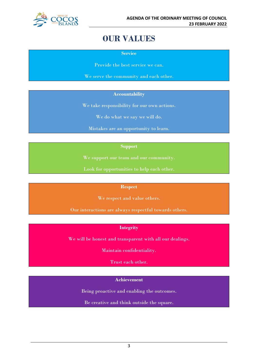

## **OUR VALUES**

**Service**

Provide the best service we can.

We serve the community and each other.

### **Accountability**

We take responsibility for our own actions.

We do what we say we will do.

Mistakes are an opportunity to learn.

### **Support**

We support our team and our community.

Look for opportunities to help each other.

#### **Respect**

We respect and value others.

Our interactions are always respectful towards others.

### **Integrity**

We will be honest and transparent with all our dealings.

Maintain confidentiality.

Trust each other.

### **Achievement**

Being proactive and enabling the outcomes.

Be creative and think outside the square.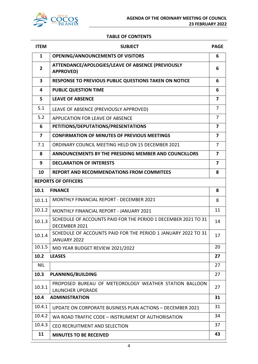

### **TABLE OF CONTENTS**

| <b>ITEM</b>              | <b>SUBJECT</b>                                                                    | <b>PAGE</b>             |
|--------------------------|-----------------------------------------------------------------------------------|-------------------------|
| $\mathbf{1}$             | <b>OPENING/ANNOUNCEMENTS OF VISITORS</b>                                          | 6                       |
| $\mathbf{2}$             | ATTENDANCE/APOLOGIES/LEAVE OF ABSENCE (PREVIOUSLY<br><b>APPROVED)</b>             | 6                       |
| 3                        | <b>RESPONSE TO PREVIOUS PUBLIC QUESTIONS TAKEN ON NOTICE</b>                      | 6                       |
| 4                        | <b>PUBLIC QUESTION TIME</b>                                                       | 6                       |
| 5                        | <b>LEAVE OF ABSENCE</b>                                                           | 7                       |
| 5.1                      | LEAVE OF ABSENCE (PREVIOUSLY APPROVED)                                            | $\overline{7}$          |
| 5.2                      | <b>APPLICATION FOR LEAVE OF ABSENCE</b>                                           | 7                       |
| 6                        | PETITIONS/DEPUTATIONS/PRESENTATIONS                                               | $\overline{\mathbf{z}}$ |
| $\overline{\phantom{a}}$ | <b>CONFIRMATION OF MINUTES OF PREVIOUS MEETINGS</b>                               | $\overline{\mathbf{z}}$ |
| 7.1                      | ORDINARY COUNCIL MEETING HELD ON 15 DECEMBER 2021                                 | $\overline{7}$          |
| 8                        | ANNOUNCEMENTS BY THE PRESIDING MEMBER AND COUNCILLORS                             | $\overline{7}$          |
| 9                        | <b>DECLARATION OF INTERESTS</b>                                                   | $\overline{7}$          |
| 10                       | <b>REPORT AND RECOMMENDATIONS FROM COMMITEES</b>                                  | 8                       |
|                          | <b>REPORTS OF OFFICERS</b>                                                        |                         |
| 10.1                     | <b>FINANCE</b>                                                                    | 8                       |
| 10.1.1                   | <b>MONTHLY FINANCIAL REPORT - DECEMBER 2021</b>                                   | 8                       |
| 10.1.2                   | <b>MONTHLY FINANCIAL REPORT - JANUARY 2021</b>                                    | 11                      |
| 10.1.3                   | SCHEDULE OF ACCOUNTS PAID FOR THE PERIOD 1 DECEMBER 2021 TO 31<br>DECEMBER 2021   | 14                      |
| 10.1.4                   | SCHEDULE OF ACCOUNTS PAID FOR THE PERIOD 1 JANUARY 2022 TO 31<br>JANUARY 2022     | 17                      |
| 10.1.5                   | MID YEAR BUDGET REVIEW 2021/2022                                                  | 20                      |
| 10.2                     | <b>LEASES</b>                                                                     | 27                      |
| <b>NIL</b>               |                                                                                   | 27                      |
| 10.3                     | <b>PLANNING/BUILDING</b>                                                          | 27                      |
| 10.3.1                   | PROPOSED BUREAU OF METEOROLOGY WEATHER STATION BALLOON<br><b>LAUNCHER UPGRADE</b> | 27                      |
| 10.4                     | <b>ADMINISTRATION</b>                                                             | 31                      |
| 10.4.1                   | UPDATE ON CORPORATE BUSINESS PLAN ACTIONS - DECEMBER 2021                         | 31                      |
| 10.4.2                   | WA ROAD TRAFFIC CODE - INSTRUMENT OF AUTHORISATION                                | 34                      |
| 10.4.3                   | CEO RECRUITMENT AND SELECTION                                                     | 37                      |
| 11                       | <b>MINUTES TO BE RECEIVED</b>                                                     | 43                      |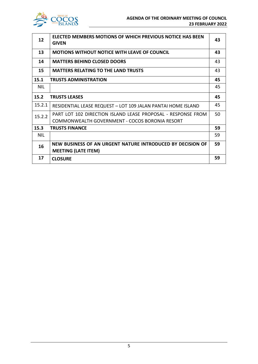

| 12         | ELECTED MEMBERS MOTIONS OF WHICH PREVIOUS NOTICE HAS BEEN<br><b>GIVEN</b> | 43 |
|------------|---------------------------------------------------------------------------|----|
|            |                                                                           |    |
| 13         | <b>MOTIONS WITHOUT NOTICE WITH LEAVE OF COUNCIL</b>                       | 43 |
| 14         | <b>MATTERS BEHIND CLOSED DOORS</b>                                        | 43 |
| 15         | <b>MATTERS RELATING TO THE LAND TRUSTS</b>                                | 43 |
| 15.1       | <b>TRUSTS ADMINISTRATION</b>                                              | 45 |
| <b>NIL</b> |                                                                           | 45 |
| 15.2       | <b>TRUSTS LEASES</b>                                                      | 45 |
| 15.2.1     | RESIDENTIAL LEASE REQUEST - LOT 109 JALAN PANTAI HOME ISLAND              | 45 |
| 15.2.2     | PART LOT 102 DIRECTION ISLAND LEASE PROPOSAL - RESPONSE FROM              | 50 |
|            | COMMONWEALTH GOVERNMENT - COCOS BORONIA RESORT                            |    |
| 15.3       | <b>TRUSTS FINANCE</b>                                                     | 59 |
| <b>NIL</b> |                                                                           | 59 |
| 16         | NEW BUSINESS OF AN URGENT NATURE INTRODUCED BY DECISION OF                | 59 |
|            | <b>MEETING (LATE ITEM)</b>                                                |    |
| 17         | <b>CLOSURE</b>                                                            | 59 |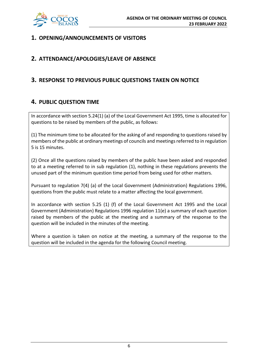

### **1. OPENING/ANNOUNCEMENTS OF VISITORS**

### **2. ATTENDANCE/APOLOGIES/LEAVE OF ABSENCE**

### **3. RESPONSE TO PREVIOUS PUBLIC QUESTIONS TAKEN ON NOTICE**

### **4. PUBLIC QUESTION TIME**

In accordance with section 5.24(1) (a) of the Local Government Act 1995, time is allocated for questions to be raised by members of the public, as follows:

(1) The minimum time to be allocated for the asking of and responding to questions raised by members of the public at ordinary meetings of councils and meetings referred to in regulation 5 is 15 minutes.

(2) Once all the questions raised by members of the public have been asked and responded to at a meeting referred to in sub regulation (1), nothing in these regulations prevents the unused part of the minimum question time period from being used for other matters.

Pursuant to regulation 7(4) (a) of the Local Government (Administration) Regulations 1996, questions from the public must relate to a matter affecting the local government.

In accordance with section 5.25 (1) (f) of the Local Government Act 1995 and the Local Government (Administration) Regulations 1996 regulation 11(e) a summary of each question raised by members of the public at the meeting and a summary of the response to the question will be included in the minutes of the meeting.

Where a question is taken on notice at the meeting, a summary of the response to the question will be included in the agenda for the following Council meeting.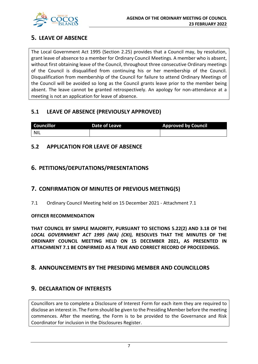

### **5. LEAVE OF ABSENCE**

The Local Government Act 1995 (Section 2.25) provides that a Council may, by resolution, grant leave of absence to a member for Ordinary Council Meetings. A member who is absent, without first obtaining leave of the Council, throughout three consecutive Ordinary meetings of the Council is disqualified from continuing his or her membership of the Council. Disqualification from membership of the Council for failure to attend Ordinary Meetings of the Council will be avoided so long as the Council grants leave prior to the member being absent. The leave cannot be granted retrospectively. An apology for non-attendance at a meeting is not an application for leave of absence.

### **5.1 LEAVE OF ABSENCE (PREVIOUSLY APPROVED)**

| <b>Councillor</b> | Date of Leave | <b>Approved by Council</b> |
|-------------------|---------------|----------------------------|
| <b>NIL</b>        |               |                            |

### **5.2 APPLICATION FOR LEAVE OF ABSENCE**

### **6. PETITIONS/DEPUTATIONS/PRESENTATIONS**

### **7. CONFIRMATION OF MINUTES OF PREVIOUS MEETING(S)**

7.1 Ordinary Council Meeting held on 15 December 2021 - Attachment 7.1

### **OFFICER RECOMMENDATION**

**THAT COUNCIL BY SIMPLE MAJORITY, PURSUANT TO SECTIONS 5.22(2) AND 3.18 OF THE**  *LOCAL GOVERNMENT ACT 1995 (WA) (CKI),* **RESOLVES THAT THE MINUTES OF THE ORDINARY COUNCIL MEETING HELD ON 15 DECEMBER 2021, AS PRESENTED IN ATTACHMENT 7.1 BE CONFIRMED AS A TRUE AND CORRECT RECORD OF PROCEEDINGS.**

### **8. ANNOUNCEMENTS BY THE PRESIDING MEMBER AND COUNCILLORS**

### **9. DECLARATION OF INTERESTS**

Councillors are to complete a Disclosure of Interest Form for each item they are required to disclose an interest in. The Form should be given to the Presiding Member before the meeting commences. After the meeting, the Form is to be provided to the Governance and Risk Coordinator for inclusion in the Disclosures Register.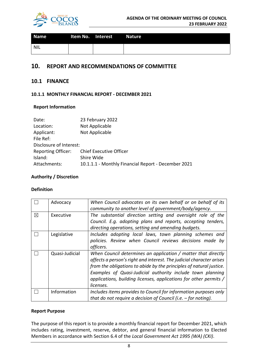

| <b>Name</b> | Item No. Interest<br><b>Contract Contract Service</b> | <b>Nature</b> |
|-------------|-------------------------------------------------------|---------------|
| NIL         |                                                       |               |

### **10. REPORT AND RECOMMENDATIONS OF COMMITTEE**

### **10.1 FINANCE**

### **10.1.1 MONTHLY FINANCIAL REPORT - DECEMBER 2021**

### **Report Information**

| Date:                     | 23 February 2022                                    |
|---------------------------|-----------------------------------------------------|
| Location:                 | Not Applicable                                      |
| Applicant:                | Not Applicable                                      |
| File Ref:                 |                                                     |
| Disclosure of Interest:   |                                                     |
| <b>Reporting Officer:</b> | <b>Chief Executive Officer</b>                      |
| Island:                   | Shire Wide                                          |
| Attachments:              | 10.1.1.1 - Monthly Financial Report - December 2021 |

### **Authority / Discretion**

### **Definition**

|   | Advocacy       | When Council advocates on its own behalf or on behalf of its<br>community to another level of government/body/agency.                                                                                                                                                                                                                                        |
|---|----------------|--------------------------------------------------------------------------------------------------------------------------------------------------------------------------------------------------------------------------------------------------------------------------------------------------------------------------------------------------------------|
| ⊠ | Executive      | The substantial direction setting and oversight role of the<br>Council. E.g. adopting plans and reports, accepting tenders,<br>directing operations, setting and amending budgets.                                                                                                                                                                           |
|   | Legislative    | Includes adopting local laws, town planning schemes and<br>policies. Review when Council reviews decisions made by<br>officers.                                                                                                                                                                                                                              |
|   | Quasi-Judicial | When Council determines an application / matter that directly<br>affects a person's right and interest. The judicial character arises<br>from the obligations to abide by the principles of natural justice.<br>Examples of Quasi-Judicial authority include town planning<br>applications, building licenses, applications for other permits /<br>licenses. |
|   | Information    | Includes items provides to Council for information purposes only<br>that do not require a decision of Council (i.e. $-$ for noting).                                                                                                                                                                                                                         |

### **Report Purpose**

The purpose of this report is to provide a monthly financial report for December 2021, which includes rating, investment, reserve, debtor, and general financial information to Elected Members in accordance with Section 6.4 of the *Local Government Act 1995 (WA) (CKI)*.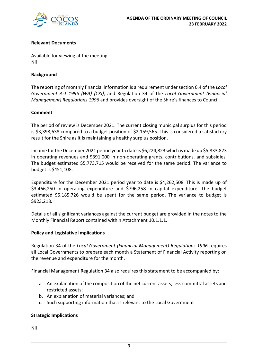

### **Relevant Documents**

Available for viewing at the meeting. Nil

### **Background**

The reporting of monthly financial information is a requirement under section 6.4 of the *Local Government Act 1995 (WA) (CKI)*, and Regulation 34 of the *Local Government (Financial Management) Regulations 1996* and provides oversight of the Shire's finances to Council.

### **Comment**

The period of review is December 2021. The current closing municipal surplus for this period is \$3,398,638 compared to a budget position of \$2,159,565. This is considered a satisfactory result for the Shire as it is maintaining a healthy surplus position.

Income for the December 2021 period year to date is \$6,224,823 which is made up \$5,833,823 in operating revenues and \$391,000 in non-operating grants, contributions, and subsidies. The budget estimated \$5,773,715 would be received for the same period. The variance to budget is \$451,108.

Expenditure for the December 2021 period year to date is \$4,262,508. This is made up of \$3,466,250 in operating expenditure and \$796,258 in capital expenditure. The budget estimated \$5,185,726 would be spent for the same period. The variance to budget is \$923,218.

Details of all significant variances against the current budget are provided in the notes to the Monthly Financial Report contained within Attachment 10.1.1.1.

### **Policy and Legislative Implications**

Regulation 34 of the *Local Government (Financial Management) Regulations 1996* requires all Local Governments to prepare each month a Statement of Financial Activity reporting on the revenue and expenditure for the month.

Financial Management Regulation 34 also requires this statement to be accompanied by:

- a. An explanation of the composition of the net current assets, less committal assets and restricted assets;
- b. An explanation of material variances; and
- c. Such supporting information that is relevant to the Local Government

### **Strategic Implications**

Nil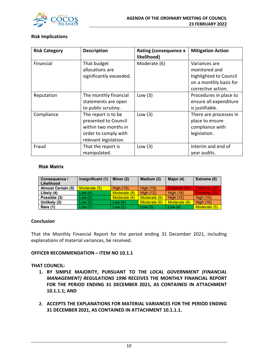

### **Risk Implications**

| <b>Risk Category</b> | <b>Description</b>      | <b>Rating (consequence x</b><br>likelihood) | <b>Mitigation Action</b> |
|----------------------|-------------------------|---------------------------------------------|--------------------------|
| Financial            | That budget             | Moderate (6)                                | Variances are            |
|                      | allocations are         |                                             | monitored and            |
|                      | significantly exceeded. |                                             | highlighted to Council   |
|                      |                         |                                             | on a monthly basis for   |
|                      |                         |                                             | corrective action.       |
| Reputation           | The monthly financial   | Low $(3)$                                   | Procedures in place to   |
|                      | statements are open     |                                             | ensure all expenditure   |
|                      | to public scrutiny.     |                                             | is justifiable.          |
| Compliance           | The report is to be     | Low $(3)$                                   | There are processes in   |
|                      | presented to Council    |                                             | place to ensure          |
|                      | within two months in    |                                             | compliance with          |
|                      | order to comply with    |                                             | legislation.             |
|                      | relevant legislation.   |                                             |                          |
| Fraud                | That the report is      | Low $(3)$                                   | Interim and end of       |
|                      | manipulated.            |                                             | year audits.             |

### **Risk Matrix**

| Consequence /<br><b>Likelihood</b> | Insignificant (1) | Minor (2)        | Medium (3)       | Major (4)        | Extreme (5)      |
|------------------------------------|-------------------|------------------|------------------|------------------|------------------|
| <b>Almost Certain (5)</b>          | Moderate (5)      | <b>High (10)</b> | <b>High (15)</b> | Extreme (20)     | Extreme (25)     |
| Likely (4)                         | Low(4)            | Moderate (8)     | <b>High (12)</b> | <b>High (16)</b> | Extreme (20)     |
| Possible (3)                       | Low(3)            | Moderate (6)     | Moderate (9)     | <b>High (12)</b> | <b>High (15)</b> |
| Unlikely (2)                       | Low(2)            | Low $(4)$        | Moderate (6)     | Moderate (8)     | <b>High (10)</b> |
| Rare (1)                           | Low(1)            | Low(2)           | Low $(3)$        | Low $(4)$        | Moderate (5)     |

### **Conclusion**

That the Monthly Financial Report for the period ending 31 December 2021, including explanations of material variances, be received.

### **OFFICER RECOMMENDATION – ITEM NO 10.1.1**

### **THAT COUNCIL:**

- **1. BY SIMPLE MAJORITY, PURSUANT TO THE** *LOCAL GOVERNMENT (FINANCIAL MANAGEMENT) REGULATIONS 1996* **RECEIVES THE MONTHLY FINANCIAL REPORT FOR THE PERIOD ENDING 31 DECEMBER 2021, AS CONTAINED IN ATTACHMENT 10.1.1.1; AND**
- **2. ACCEPTS THE EXPLANATIONS FOR MATERIAL VARIANCES FOR THE PERIOD ENDING 31 DECEMBER 2021, AS CONTAINED IN ATTACHMENT 10.1.1.1.**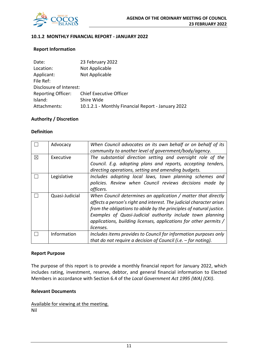

### **10.1.2 MONTHLY FINANCIAL REPORT - JANUARY 2022**

#### **Report Information**

| Date:                     | 23 February 2022                                   |
|---------------------------|----------------------------------------------------|
| Location:                 | Not Applicable                                     |
| Applicant:                | Not Applicable                                     |
| File Ref:                 |                                                    |
| Disclosure of Interest:   |                                                    |
| <b>Reporting Officer:</b> | <b>Chief Executive Officer</b>                     |
| Island:                   | Shire Wide                                         |
| Attachments:              | 10.1.2.1 - Monthly Financial Report - January 2022 |

#### **Authority / Discretion**

#### **Definition**

|   | Advocacy       | When Council advocates on its own behalf or on behalf of its         |  |  |  |  |
|---|----------------|----------------------------------------------------------------------|--|--|--|--|
|   |                | community to another level of government/body/agency.                |  |  |  |  |
| ⊠ | Executive      | The substantial direction setting and oversight role of the          |  |  |  |  |
|   |                | Council. E.g. adopting plans and reports, accepting tenders,         |  |  |  |  |
|   |                | directing operations, setting and amending budgets.                  |  |  |  |  |
|   | Legislative    | Includes adopting local laws, town planning schemes and              |  |  |  |  |
|   |                | policies. Review when Council reviews decisions made by              |  |  |  |  |
|   |                | officers.                                                            |  |  |  |  |
|   | Quasi-Judicial | When Council determines an application / matter that directly        |  |  |  |  |
|   |                | affects a person's right and interest. The judicial character arises |  |  |  |  |
|   |                | from the obligations to abide by the principles of natural justice.  |  |  |  |  |
|   |                | Examples of Quasi-Judicial authority include town planning           |  |  |  |  |
|   |                | applications, building licenses, applications for other permits /    |  |  |  |  |
|   |                | licenses.                                                            |  |  |  |  |
|   | Information    | Includes items provides to Council for information purposes only     |  |  |  |  |
|   |                | that do not require a decision of Council (i.e. $-$ for noting).     |  |  |  |  |

#### **Report Purpose**

The purpose of this report is to provide a monthly financial report for January 2022, which includes rating, investment, reserve, debtor, and general financial information to Elected Members in accordance with Section 6.4 of the *Local Government Act 1995 (WA) (CKI)*.

### **Relevant Documents**

Available for viewing at the meeting. Nil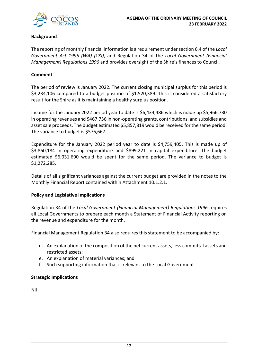

### **Background**

The reporting of monthly financial information is a requirement under section 6.4 of the *Local Government Act 1995 (WA) (CKI)*, and Regulation 34 of the *Local Government (Financial Management) Regulations 1996* and provides oversight of the Shire's finances to Council.

### **Comment**

The period of review is January 2022. The current closing municipal surplus for this period is \$3,234,106 compared to a budget position of \$1,520,389. This is considered a satisfactory result for the Shire as it is maintaining a healthy surplus position.

Income for the January 2022 period year to date is \$6,434,486 which is made up \$5,966,730 in operating revenues and \$467,756 in non-operating grants, contributions, and subsidies and asset sale proceeds. The budget estimated \$5,857,819 would be received for the same period. The variance to budget is \$576,667.

Expenditure for the January 2022 period year to date is \$4,759,405. This is made up of \$3,860,184 in operating expenditure and \$899,221 in capital expenditure. The budget estimated \$6,031,690 would be spent for the same period. The variance to budget is \$1,272,285.

Details of all significant variances against the current budget are provided in the notes to the Monthly Financial Report contained within Attachment 10.1.2.1.

### **Policy and Legislative Implications**

Regulation 34 of the *Local Government (Financial Management) Regulations 1996* requires all Local Governments to prepare each month a Statement of Financial Activity reporting on the revenue and expenditure for the month.

Financial Management Regulation 34 also requires this statement to be accompanied by:

- d. An explanation of the composition of the net current assets, less committal assets and restricted assets;
- e. An explanation of material variances; and
- f. Such supporting information that is relevant to the Local Government

### **Strategic Implications**

Nil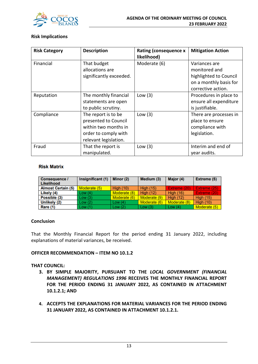

### **Risk Implications**

| <b>Risk Category</b> | <b>Description</b>      | <b>Rating (consequence x</b><br>likelihood) | <b>Mitigation Action</b> |
|----------------------|-------------------------|---------------------------------------------|--------------------------|
| Financial            | That budget             | Moderate (6)                                | Variances are            |
|                      | allocations are         |                                             | monitored and            |
|                      | significantly exceeded. |                                             | highlighted to Council   |
|                      |                         |                                             | on a monthly basis for   |
|                      |                         |                                             | corrective action.       |
| Reputation           | The monthly financial   | Low $(3)$                                   | Procedures in place to   |
|                      | statements are open     |                                             | ensure all expenditure   |
|                      | to public scrutiny.     |                                             | is justifiable.          |
| Compliance           | The report is to be     | Low $(3)$                                   | There are processes in   |
|                      | presented to Council    |                                             | place to ensure          |
|                      | within two months in    |                                             | compliance with          |
|                      | order to comply with    |                                             | legislation.             |
|                      | relevant legislation.   |                                             |                          |
| Fraud                | That the report is      | Low $(3)$                                   | Interim and end of       |
|                      | manipulated.            |                                             | year audits.             |

### **Risk Matrix**

| Consequence /<br><b>Likelihood</b> | Insignificant (1) | Minor (2)        | Medium (3)       | Major (4)        | Extreme (5)      |
|------------------------------------|-------------------|------------------|------------------|------------------|------------------|
| <b>Almost Certain (5)</b>          | Moderate (5)      | <b>High (10)</b> | <b>High (15)</b> | Extreme (20)     | Extreme (25)     |
| Likely (4)                         | Low(4)            | Moderate (8)     | <b>High (12)</b> | <b>High (16)</b> | Extreme (20)     |
| Possible (3)                       | Low(3)            | Moderate (6)     | Moderate (9)     | <b>High (12)</b> | <b>High (15)</b> |
| Unlikely (2)                       | Low(2)            | Low $(4)$        | Moderate (6)     | Moderate (8)     | <b>High (10)</b> |
| Rare (1)                           | Low(1)            | Low(2)           | Low $(3)$        | Low $(4)$        | Moderate (5)     |

### **Conclusion**

That the Monthly Financial Report for the period ending 31 January 2022, including explanations of material variances, be received.

### **OFFICER RECOMMENDATION – ITEM NO 10.1.2**

### **THAT COUNCIL:**

- **3. BY SIMPLE MAJORITY, PURSUANT TO THE** *LOCAL GOVERNMENT (FINANCIAL MANAGEMENT) REGULATIONS 1996* **RECEIVES THE MONTHLY FINANCIAL REPORT FOR THE PERIOD ENDING 31 JANUARY 2022, AS CONTAINED IN ATTACHMENT 10.1.2.1; AND**
- **4. ACCEPTS THE EXPLANATIONS FOR MATERIAL VARIANCES FOR THE PERIOD ENDING 31 JANUARY 2022, AS CONTAINED IN ATTACHMENT 10.1.2.1.**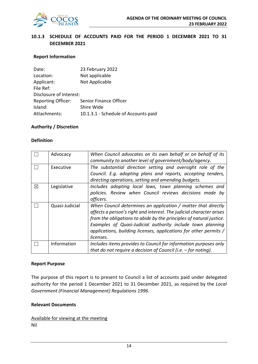

### **10.1.3 SCHEDULE OF ACCOUNTS PAID FOR THE PERIOD 1 DECEMBER 2021 TO 31 DECEMBER 2021**

### **Report Information**

| Date:                     | 23 February 2022                     |
|---------------------------|--------------------------------------|
| Location:                 | Not applicable                       |
| Applicant:                | Not Applicable                       |
| File Ref:                 |                                      |
| Disclosure of Interest:   |                                      |
| <b>Reporting Officer:</b> | Senior Finance Officer               |
| Island:                   | Shire Wide                           |
| Attachments:              | 10.1.3.1 - Schedule of Accounts paid |

### **Authority / Discretion**

### **Definition**

|   | Advocacy       | When Council advocates on its own behalf or on behalf of its<br>community to another level of government/body/agency. |
|---|----------------|-----------------------------------------------------------------------------------------------------------------------|
|   |                |                                                                                                                       |
|   | Executive      | The substantial direction setting and oversight role of the                                                           |
|   |                | Council. E.g. adopting plans and reports, accepting tenders,                                                          |
|   |                | directing operations, setting and amending budgets.                                                                   |
| ⊠ | Legislative    | Includes adopting local laws, town planning schemes and                                                               |
|   |                | policies. Review when Council reviews decisions made by                                                               |
|   |                | officers.                                                                                                             |
|   | Quasi-Judicial | When Council determines an application / matter that directly                                                         |
|   |                | affects a person's right and interest. The judicial character arises                                                  |
|   |                | from the obligations to abide by the principles of natural justice.                                                   |
|   |                | Examples of Quasi-Judicial authority include town planning                                                            |
|   |                | applications, building licenses, applications for other permits /                                                     |
|   |                | licenses.                                                                                                             |
|   | Information    | Includes items provides to Council for information purposes only                                                      |
|   |                | that do not require a decision of Council (i.e. $-$ for noting).                                                      |

#### **Report Purpose**

The purpose of this report is to present to Council a list of accounts paid under delegated authority for the period 1 December 2021 to 31 December 2021, as required by the *Local Government (Financial Management) Regulations 1996*.

#### **Relevant Documents**

Available for viewing at the meeting Nil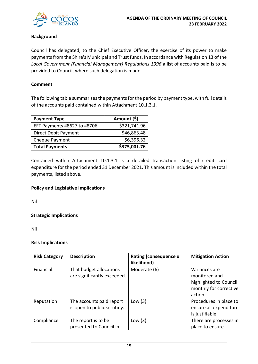

### **Background**

Council has delegated, to the Chief Executive Officer, the exercise of its power to make payments from the Shire's Municipal and Trust funds. In accordance with Regulation 13 of the *Local Government (Financial Management) Regulations 1996* a list of accounts paid is to be provided to Council, where such delegation is made.

### **Comment**

The following table summarises the payments for the period by payment type, with full details of the accounts paid contained within Attachment 10.1.3.1.

| <b>Payment Type</b>         | Amount (\$)  |
|-----------------------------|--------------|
| EFT Payments #8627 to #8706 | \$321,741.96 |
| Direct Debit Payment        | \$46,863.48  |
| Cheque Payment              | \$6,396.32   |
| <b>Total Payments</b>       | \$375,001.76 |

Contained within Attachment 10.1.3.1 is a detailed transaction listing of credit card expenditure for the period ended 31 December 2021. This amount is included within the total payments, listed above.

### **Policy and Legislative Implications**

Nil

### **Strategic Implications**

Nil

### **Risk Implications**

| <b>Risk Category</b> | <b>Description</b>                                      | <b>Rating (consequence x</b><br>likelihood) | <b>Mitigation Action</b>                                                                      |
|----------------------|---------------------------------------------------------|---------------------------------------------|-----------------------------------------------------------------------------------------------|
| Financial            | That budget allocations<br>are significantly exceeded.  | Moderate (6)                                | Variances are<br>monitored and<br>highlighted to Council<br>monthly for corrective<br>action. |
| Reputation           | The accounts paid report<br>is open to public scrutiny. | Low $(3)$                                   | Procedures in place to<br>ensure all expenditure<br>is justifiable.                           |
| Compliance           | The report is to be<br>presented to Council in          | Low $(3)$                                   | There are processes in<br>place to ensure                                                     |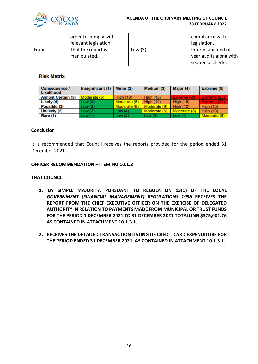

#### **AGENDA OF THE ORDINARY MEETING OF COUNCIL 23 FEBRUARY 2022**

|       | order to comply with<br>relevant legislation. |           | compliance with<br>legislation.                                  |
|-------|-----------------------------------------------|-----------|------------------------------------------------------------------|
| Fraud | That the report is<br>manipulated.            | Low $(3)$ | Interim and end of<br>year audits along with<br>sequence checks. |

### **Risk Matrix**

| <b>Consequence /</b><br>Likelihood | Insignificant (1) | Minor (2)        | Medium (3)       | Major (4)        | Extreme (5)      |
|------------------------------------|-------------------|------------------|------------------|------------------|------------------|
| <b>Almost Certain (5)</b>          | Moderate (5)      | <b>High (10)</b> | <b>High (15)</b> | Extreme (20)     | Extreme (25)     |
| Likely (4)                         | Low(4)            | Moderate (8)     | <b>High (12)</b> | <b>High (16)</b> | Extreme (20)     |
| Possible (3)                       | Low(3)            | Moderate (6)     | Moderate (9)     | <b>High (12)</b> | <b>High (15)</b> |
| Unlikely (2)                       | Low(2)            | Low $(4)$        | Moderate (6)     | Moderate (8)     | <b>High (10)</b> |
| Rare (1)                           | Low(1)            | Low(2)           | Low(3)           | Low $(4)$        | Moderate (5)     |

### **Conclusion**

It is recommended that Council receives the reports provided for the period ended 31 December 2021.

#### **OFFICER RECOMMENDATION – ITEM NO 10.1.3**

### **THAT COUNCIL:**

- **1. BY SIMPLE MAJORITY, PURSUANT TO REGULATION 13(1) OF THE LOCAL**  *GOVERNMENT (FINANCIAL MANAGEMENT) REGULATIONS 1996* **RECEIVES THE REPORT FROM THE CHIEF EXECUTIVE OFFICER ON THE EXERCISE OF DELEGATED AUTHORITY IN RELATION TO PAYMENTS MADE FROM MUNICIPAL OR TRUST FUNDS FOR THE PERIOD 1 DECEMBER 2021 TO 31 DECEMBER 2021 TOTALLING \$375,001.76 AS CONTAINED IN ATTACHMENT 10.1.3.1.**
- **2. RECEIVES THE DETAILED TRANSACTION LISTING OF CREDIT CARD EXPENDITURE FOR THE PERIOD ENDED 31 DECEMBER 2021, AS CONTAINED IN ATTACHMENT 10.1.3.1.**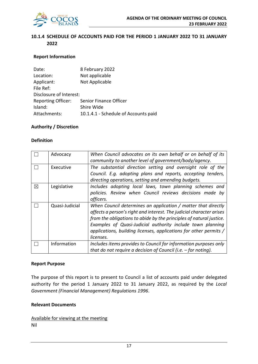

### **10.1.4 SCHEDULE OF ACCOUNTS PAID FOR THE PERIOD 1 JANUARY 2022 TO 31 JANUARY 2022**

### **Report Information**

| Date:                     | 8 February 2022                      |
|---------------------------|--------------------------------------|
| Location:                 | Not applicable                       |
| Applicant:                | Not Applicable                       |
| File Ref:                 |                                      |
| Disclosure of Interest:   |                                      |
| <b>Reporting Officer:</b> | Senior Finance Officer               |
| Island:                   | Shire Wide                           |
| Attachments:              | 10.1.4.1 - Schedule of Accounts paid |

### **Authority / Discretion**

### **Definition**

|   | Advocacy       | When Council advocates on its own behalf or on behalf of its<br>community to another level of government/body/agency.                                                                                                                                                                                                                                        |
|---|----------------|--------------------------------------------------------------------------------------------------------------------------------------------------------------------------------------------------------------------------------------------------------------------------------------------------------------------------------------------------------------|
|   | Executive      | The substantial direction setting and oversight role of the<br>Council. E.g. adopting plans and reports, accepting tenders,<br>directing operations, setting and amending budgets.                                                                                                                                                                           |
| ⊠ | Legislative    | Includes adopting local laws, town planning schemes and<br>policies. Review when Council reviews decisions made by<br>officers.                                                                                                                                                                                                                              |
|   | Quasi-Judicial | When Council determines an application / matter that directly<br>affects a person's right and interest. The judicial character arises<br>from the obligations to abide by the principles of natural justice.<br>Examples of Quasi-Judicial authority include town planning<br>applications, building licenses, applications for other permits /<br>licenses. |
|   | Information    | Includes items provides to Council for information purposes only<br>that do not require a decision of Council (i.e. $-$ for noting).                                                                                                                                                                                                                         |

#### **Report Purpose**

The purpose of this report is to present to Council a list of accounts paid under delegated authority for the period 1 January 2022 to 31 January 2022, as required by the *Local Government (Financial Management) Regulations 1996*.

#### **Relevant Documents**

Available for viewing at the meeting Nil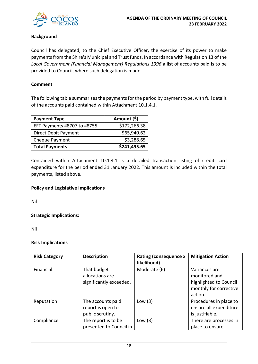

### **Background**

Council has delegated, to the Chief Executive Officer, the exercise of its power to make payments from the Shire's Municipal and Trust funds. In accordance with Regulation 13 of the *Local Government (Financial Management) Regulations 1996* a list of accounts paid is to be provided to Council, where such delegation is made.

### **Comment**

The following table summarises the payments for the period by payment type, with full details of the accounts paid contained within Attachment 10.1.4.1.

| <b>Payment Type</b>         | Amount (\$)  |
|-----------------------------|--------------|
| EFT Payments #8707 to #8755 | \$172,266.38 |
| Direct Debit Payment        | \$65,940.62  |
| Cheque Payment              | \$3,288.65   |
| <b>Total Payments</b>       | \$241,495.65 |

Contained within Attachment 10.1.4.1 is a detailed transaction listing of credit card expenditure for the period ended 31 January 2022. This amount is included within the total payments, listed above.

### **Policy and Legislative Implications**

Nil

**Strategic Implications:**

Nil

### **Risk Implications**

| <b>Risk Category</b> | <b>Description</b>                                         | <b>Rating (consequence x</b><br>likelihood) | <b>Mitigation Action</b>                                                                      |
|----------------------|------------------------------------------------------------|---------------------------------------------|-----------------------------------------------------------------------------------------------|
| Financial            | That budget<br>allocations are<br>significantly exceeded.  | Moderate (6)                                | Variances are<br>monitored and<br>highlighted to Council<br>monthly for corrective<br>action. |
| Reputation           | The accounts paid<br>report is open to<br>public scrutiny. | Low $(3)$                                   | Procedures in place to<br>ensure all expenditure<br>is justifiable.                           |
| Compliance           | The report is to be<br>presented to Council in             | Low $(3)$                                   | There are processes in<br>place to ensure                                                     |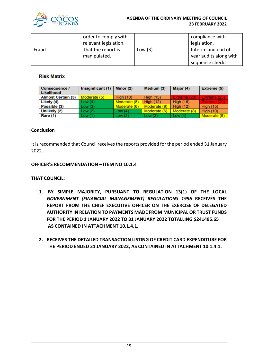

|       | order to comply with<br>relevant legislation. |           | compliance with<br>legislation.                                  |
|-------|-----------------------------------------------|-----------|------------------------------------------------------------------|
| Fraud | That the report is<br>manipulated.            | Low $(3)$ | Interim and end of<br>year audits along with<br>sequence checks. |

### **Risk Matrix**

| Consequence /<br>Likelihood | Insignificant (1) | Minor (2)        | Medium (3)       | Major (4)        | Extreme (5)      |
|-----------------------------|-------------------|------------------|------------------|------------------|------------------|
| <b>Almost Certain (5)</b>   | Moderate (5)      | <b>High (10)</b> | <b>High (15)</b> | Extreme (20)     | Extreme (25)     |
| Likely (4)                  | Low(4)            | Moderate (8)     | <b>High (12)</b> | <b>High (16)</b> | Extreme (20)     |
| Possible (3)                | Low(3)            | Moderate (6)     | Moderate (9)     | <b>High (12)</b> | <b>High (15)</b> |
| Unlikely (2)                | Low(2)            | Low $(4)$        | Moderate (6)     | Moderate (8)     | <b>High (10)</b> |
| Rare (1)                    | Low(1)            | Low(2)           | Low(3)           | Low $(4)$        | Moderate (5)     |

### **Conclusion**

It is recommended that Council receives the reports provided for the period ended 31 January 2022.

### **OFFICER'S RECOMMENDATION – ITEM NO 10.1.4**

### **THAT COUNCIL:**

- **1. BY SIMPLE MAJORITY, PURSUANT TO REGULATION 13(1) OF THE LOCAL**  *GOVERNMENT (FINANCIAL MANAGEMENT) REGULATIONS 1996* **RECEIVES THE REPORT FROM THE CHIEF EXECUTIVE OFFICER ON THE EXERCISE OF DELEGATED AUTHORITY IN RELATION TO PAYMENTS MADE FROM MUNICIPAL OR TRUST FUNDS FOR THE PERIOD 1 JANUARY 2022 TO 31 JANUARY 2022 TOTALLING \$241495.65 AS CONTAINED IN ATTACHMENT 10.1.4.1.**
- **2. RECEIVES THE DETAILED TRANSACTION LISTING OF CREDIT CARD EXPENDITURE FOR THE PERIOD ENDED 31 JANUARY 2022, AS CONTAINED IN ATTACHMENT 10.1.4.1.**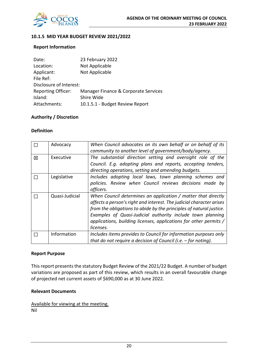

### **10.1.5 MID YEAR BUDGET REVIEW 2021/2022**

### **Report Information**

| 23 February 2022                     |
|--------------------------------------|
| Not Applicable                       |
| Not Applicable                       |
|                                      |
| Disclosure of Interest:              |
| Manager Finance & Corporate Services |
| Shire Wide                           |
| 10.1.5.1 - Budget Review Report      |
|                                      |

### **Authority / Discretion**

### **Definition**

|   | Advocacy       | When Council advocates on its own behalf or on behalf of its<br>community to another level of government/body/agency.                                                                                                                                                                                                                                        |
|---|----------------|--------------------------------------------------------------------------------------------------------------------------------------------------------------------------------------------------------------------------------------------------------------------------------------------------------------------------------------------------------------|
| 区 | Executive      | The substantial direction setting and oversight role of the<br>Council. E.g. adopting plans and reports, accepting tenders,                                                                                                                                                                                                                                  |
|   |                | directing operations, setting and amending budgets.                                                                                                                                                                                                                                                                                                          |
|   | Legislative    | Includes adopting local laws, town planning schemes and<br>policies. Review when Council reviews decisions made by<br>officers.                                                                                                                                                                                                                              |
|   | Quasi-Judicial | When Council determines an application / matter that directly<br>affects a person's right and interest. The judicial character arises<br>from the obligations to abide by the principles of natural justice.<br>Examples of Quasi-Judicial authority include town planning<br>applications, building licenses, applications for other permits /<br>licenses. |
|   | Information    | Includes items provides to Council for information purposes only<br>that do not require a decision of Council (i.e. $-$ for noting).                                                                                                                                                                                                                         |

#### **Report Purpose**

This report presents the statutory Budget Review of the 2021/22 Budget. A number of budget variations are proposed as part of this review, which results in an overall favourable change of projected net current assets of \$690,000 as at 30 June 2022.

### **Relevant Documents**

Available for viewing at the meeting. Nil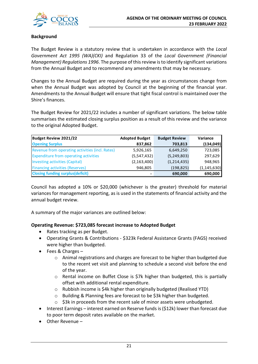

### **Background**

The Budget Review is a statutory review that is undertaken in accordance with the *Local Government Act 1995 (WA)(CKI)* and Regulation 33 of the *Local Government (Financial Management) Regulations 1996*. The purpose of this review is to identify significant variations from the Annual Budget and to recommend any amendments that may be necessary.

Changes to the Annual Budget are required during the year as circumstances change from when the Annual Budget was adopted by Council at the beginning of the financial year. Amendments to the Annual Budget will ensure that tight fiscal control is maintained over the Shire's finances.

The Budget Review for 2021/22 includes a number of significant variations. The below table summarises the estimated closing surplus position as a result of this review and the variance to the original Adopted Budget.

| Budget Review 2021/22                           | <b>Adopted Budget</b> | <b>Budget Review</b> | <b>Variance</b> |
|-------------------------------------------------|-----------------------|----------------------|-----------------|
| <b>Opening Surplus</b>                          | 837,862               | 703,813              | (134, 049)      |
| Revenue from operating activities (incl. Rates) | 5,926,165             | 6,649,250            | 723,085         |
| <b>Expenditure from operating activities</b>    | (5,547,432)           | (5, 249, 803)        | 297,629         |
| Investing activities (Capital)                  | (2, 163, 400)         | (1,214,435)          | 948,965         |
| <b>Financing activities (Reserves)</b>          | 946,805               | (198, 825)           | (1, 145, 630)   |
| <b>Closing funding surplus (deficit)</b>        |                       | 690,000              | 690,000         |

Council has adopted a 10% or \$20,000 (whichever is the greater) threshold for material variances for management reporting, as is used in the statements of financial activity and the annual budget review.

A summary of the major variances are outlined below:

### **Operating Revenue: \$723,085 forecast increase to Adopted Budget**

- Rates tracking as per Budget.
- Operating Grants & Contributions \$323k Federal Assistance Grants (FAGS) received were higher than budgeted.
- Fees & Charges
	- o Animal registrations and charges are forecast to be higher than budgeted due to the recent vet visit and planning to schedule a second visit before the end of the year.
	- $\circ$  Rental income on Buffet Close is \$7k higher than budgeted, this is partially offset with additional rental expenditure.
	- o Rubbish income is \$4k higher than originally budgeted (Realised YTD)
	- o Building & Planning fees are forecast to be \$3k higher than budgeted.
	- o \$3k in proceeds from the recent sale of minor assets were unbudgeted.
- Interest Earnings interest earned on Reserve funds is (\$12k) lower than forecast due to poor term deposit rates available on the market.
- Other Revenue –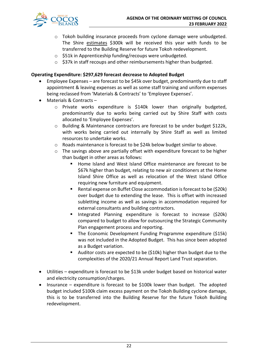- o Tokoh building insurance proceeds from cyclone damage were unbudgeted. The Shire estimates \$300k will be received this year with funds to be transferred to the Building Reserve for future Tokoh redevelopment.
- o \$51k in Apprenticeship funding/recoups were unbudgeted.
- o \$37k in staff recoups and other reimbursements higher than budgeted.

### **Operating Expenditure: \$297,629 forecast decrease to Adopted Budget**

- Employee Expenses are forecast to be \$45k over budget, predominantly due to staff appointment & leaving expenses as well as some staff training and uniform expenses being reclassed from 'Materials & Contracts' to 'Employee Expenses'.
- Materials & Contracts
	- o Private works expenditure is \$140k lower than originally budgeted, predominantly due to works being carried out by Shire Staff with costs allocated to 'Employee Expenses'.
	- o Building & Maintenance contractors are forecast to be under budget \$122k, with works being carried out internally by Shire Staff as well as limited resources to undertake works.
	- $\circ$  Roads maintenance is forecast to be \$24k below budget similar to above.
	- $\circ$  The savings above are partially offset with expenditure forecast to be higher than budget in other areas as follows:
		- Home Island and West Island Office maintenance are forecast to be \$67k higher than budget, relating to new air conditioners at the Home Island Shire Office as well as relocation of the West Island Office requiring new furniture and equipment.
		- Rental expense on Buffet Close accommodation is forecast to be (\$20k) over budget due to extending the lease. This is offset with increased subletting income as well as savings in accommodation required for external consultants and building contractors.
		- **Integrated Planning expenditure is forecast to increase (\$20k)** compared to budget to allow for outsourcing the Strategic Community Plan engagement process and reporting.
		- **The Economic Development Funding Programme expenditure (\$15k)** was not included in the Adopted Budget. This has since been adopted as a Budget variation.
		- Auditor costs are expected to be (\$10k) higher than budget due to the complexities of the 2020/21 Annual Report Land Trust separation.
- Utilities expenditure is forecast to be \$13k under budget based on historical water and electricity consumption/charges.
- Insurance expenditure is forecast to be \$100k lower than budget. The adopted budget included \$100k claim excess payment on the Tokoh Building cyclone damage, this is to be transferred into the Building Reserve for the future Tokoh Building redevelopment.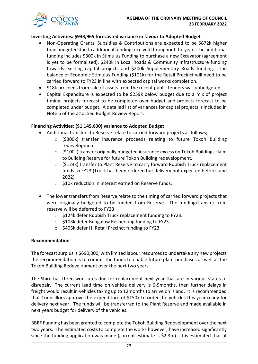

### **Investing Activities: \$948,965 forecasted variance in favour to Adopted Budget**

- Non-Operating Grants, Subsidies & Contributions are expected to be \$672k higher than budgeted due to additional funding received throughout the year. The additional funding includes \$300k in Stimulus Funding to purchase a new Excavator (agreement is yet to be formalised), \$240k in Local Roads & Community Infrastructure funding towards existing capital projects and \$200k Supplementary Roads funding. The balance of Economic Stimulus Funding (\$101k) for the Retail Precinct will need to be carried forward to FY23 in line with expected capital works completion.
- \$18k proceeds from sale of assets from the recent public tenders was unbudgeted.
- Capital Expenditure is expected to be \$259k below budget due to a mix of project timing, projects forecast to be completed over budget and projects forecast to be completed under budget. A detailed list of variances for capital projects is included in Note 5 of the attached Budget Review Report.

### **Financing Activities: (\$1,145,630) variance to Adopted Budget**

- Additional transfers to Reserve relate to carried forward projects as follows;
	- o (\$300k) transfer insurance proceeds relating to future Tokoh Building redevelopment
	- $\circ$  (\$100k) transfer originally budgeted insurance excess on Tokoh Buildings claim to Building Reserve for future Tokoh Building redevelopment.
	- o (\$124k) transfer to Plant Reserve to carry forward Rubbish Truck replacement funds to FY23 (Truck has been ordered but delivery not expected before June 2022)
	- o \$10k reduction in interest earned on Reserve funds.
- The lower transfers from Reserve relate to the timing of carried forward projects that were originally budgeted to be funded from Reserve. The funding/transfer from reserve will be deferred to FY23
	- o \$124k defer Rubbish Truck replacement funding to FY23.
	- o \$103k defer Bungalow Resheeting funding to FY23.
	- o \$405k defer HI Retail Precinct funding to FY23.

### **Recommendation**

The forecast surplus is \$690,000, with limited labour resources to undertake any new projects the recommendation is to commit the funds to enable future plant purchases as well as the Tokoh Building Redevelopment over the next two years.

The Shire has three work utes due for replacement next year that are in various states of disrepair. The current lead time on vehicle delivery is 6-9months, then further delays in freight would result in vehicles taking up to 12months to arrive on island. It is recommended that Councillors approve the expenditure of \$150k to order the vehicles this year ready for delivery next year. The funds will be transferred to the Plant Reserve and made available in next years budget for delivery of the vehicles.

BBRF Funding has been granted to complete the Tokoh Building Redevelopment over the next two years. The estimated costs to complete the works however, have increased significantly since the funding application was made (current estimate is \$2.3m). It is estimated that at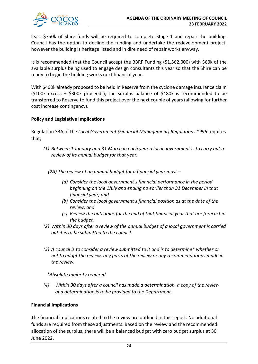

least \$750k of Shire funds will be required to complete Stage 1 and repair the building. Council has the option to decline the funding and undertake the redevelopment project, however the building is heritage listed and in dire need of repair works anyway.

It is recommended that the Council accept the BBRF Funding (\$1,562,000) with \$60k of the available surplus being used to engage design consultants this year so that the Shire can be ready to begin the building works next financial year.

With \$400k already proposed to be held in Reserve from the cyclone damage insurance claim (\$100k excess + \$300k proceeds), the surplus balance of \$480k is recommended to be transferred to Reserve to fund this project over the next couple of years (allowing for further cost increase contingency).

### **Policy and Legislative Implications**

Regulation 33A of the *Local Government (Financial Management) Regulations 1996* requires that;

- *(1) Between 1 January and 31 March in each year a local government is to carry out a review of its annual budget for that year.*
	- *(2A) The review of an annual budget for a financial year must –*
		- *(a) Consider the local government's financial performance in the period beginning on the 1July and ending no earlier than 31 December in that financial year; and*
		- *(b) Consider the local government's financial position as at the date of the review; and*
		- *(c) Review the outcomes for the end of that financial year that are forecast in the budget.*
- *(2) Within 30 days after a review of the annual budget of a local government is carried out it is to be submitted to the council.*
- *(3) A council is to consider a review submitted to it and is to determine\* whether or not to adopt the review, any parts of the review or any recommendations made in the review.*

*\*Absolute majority required*

*(4) Within 30 days after a council has made a determination, a copy of the review and determination is to be provided to the Department.*

### **Financial Implications**

The financial implications related to the review are outlined in this report. No additional funds are required from these adjustments. Based on the review and the recommended allocation of the surplus, there will be a balanced budget with zero budget surplus at 30 June 2022.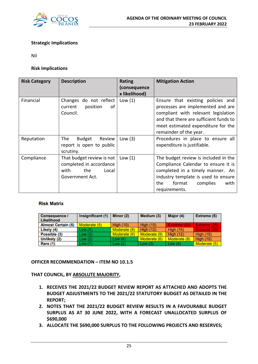

### **Strategic Implications**

Nil

#### **Risk Implications**

| <b>Risk Category</b> | <b>Description</b>                                                                              | <b>Rating</b><br>(consequence<br>x likelihood) | <b>Mitigation Action</b>                                                                                                                                                                                                |
|----------------------|-------------------------------------------------------------------------------------------------|------------------------------------------------|-------------------------------------------------------------------------------------------------------------------------------------------------------------------------------------------------------------------------|
| Financial            | Changes do not reflect<br>of<br>position<br>current<br>Council.                                 | Low $(1)$                                      | Ensure that existing policies and<br>processes are implemented and are<br>compliant with relevant legislation<br>and that there are sufficient funds to<br>meet estimated expenditure for the<br>remainder of the year. |
| Reputation           | Budget<br>The<br>Review<br>report is open to public<br>scrutiny.                                | Low $(3)$                                      | Procedures in place to ensure all<br>expenditure is justifiable.                                                                                                                                                        |
| Compliance           | That budget review is not<br>completed in accordance<br>with<br>the<br>Local<br>Government Act. | Low $(1)$                                      | The budget review is included in the<br>Compliance Calendar to ensure it is<br>completed in a timely manner. An<br>industry template is used to ensure<br>the<br>format<br>complies<br>with<br>requirements.            |

### **Risk Matrix**

| <b>Consequence /</b><br>Likelihood | Insignificant (1) | Minor $(2)$      | Medium (3)       | Major (4)        | Extreme (5)      |
|------------------------------------|-------------------|------------------|------------------|------------------|------------------|
| <b>Almost Certain (5)</b>          | Moderate (5)      | <b>High (10)</b> | <b>High (15)</b> | Extreme (20)     | Extreme (25)     |
| Likely (4)                         | Low(4)            | Moderate (8)     | <b>High (12)</b> | <b>High (16)</b> | Extreme (20)     |
| Possible (3)                       | Low(3)            | Moderate (6)     | Moderate (9)     | <b>High (12)</b> | <b>High (15)</b> |
| Unlikely (2)                       | Low(2)            | Low $(4)$        | Moderate (6)     | Moderate (8)     | <b>High (10)</b> |
| Rare (1)                           | Low(1)            | Low $(2)$        | Low $(3)$        | Low $(4)$        | Moderate (5)     |

**OFFICER RECOMMENDATION – ITEM NO 10.1.5**

**THAT COUNCIL, BY ABSOLUTE MAJORITY,** 

- **1. RECEIVES THE 2021/22 BUDGET REVIEW REPORT AS ATTACHED AND ADOPTS THE BUDGET ADJUSTMENTS TO THE 2021/22 STATUTORY BUDGET AS DETAILED IN THE REPORT;**
- **2. NOTES THAT THE 2021/22 BUDGET REVIEW RESULTS IN A FAVOURABLE BUDGET SURPLUS AS AT 30 JUNE 2022, WITH A FORECAST UNALLOCATED SURPLUS OF \$690,000**
- **3. ALLOCATE THE \$690,000 SURPLUS TO THE FOLLOWING PROJECTS AND RESERVES;**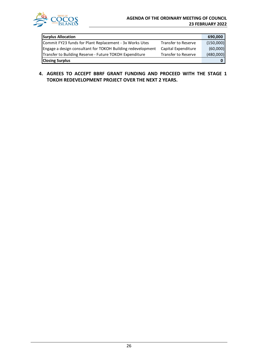

| <b>Surplus Allocation</b>                                   |                            | 690,000   |
|-------------------------------------------------------------|----------------------------|-----------|
| Commit FY23 funds for Plant Replacement - 3x Works Utes     | Transfer to Reserve        | (150,000) |
| Engage a design consultant for TOKOH Building redevelopment | Capital Expenditure        | (60,000)  |
| Transfer to Building Reserve - Future TOKOH Expenditure     | <b>Transfer to Reserve</b> | (480,000) |
| <b>Closing Surplus</b>                                      |                            |           |

**4. AGREES TO ACCEPT BBRF GRANT FUNDING AND PROCEED WITH THE STAGE 1 TOKOH REDEVELOPMENT PROJECT OVER THE NEXT 2 YEARS.**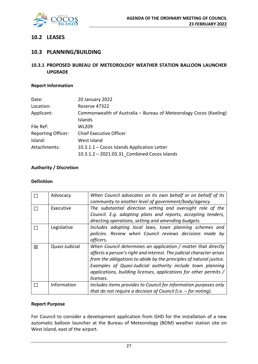

### **10.2 LEASES**

### **10.3 PLANNING/BUILDING**

**10.3.1 PROPOSED BUREAU OF METEOROLOGY WEATHER STATION BALLOON LAUNCHER UPGRADE** 

### **Report Information**

| Date:                     | 20 January 2022                                                   |
|---------------------------|-------------------------------------------------------------------|
| Location:                 | Reserve 47322                                                     |
| Applicant:                | Commonwealth of Australia - Bureau of Meteorology Cocos (Keeling) |
|                           | Islands                                                           |
| File Ref:                 | <b>WL209</b>                                                      |
| <b>Reporting Officer:</b> | <b>Chief Executive Officer</b>                                    |
| Island:                   | West Island                                                       |
| Attachments:              | 10.3.1.1 - Cocos Islands Application Letter                       |
|                           | 10.3.1.2 - 2021.03.31 Combined Cocos Islands                      |

### **Authority / Discretion**

#### **Definition**

|   | Advocacy       | When Council advocates on its own behalf or on behalf of its<br>community to another level of government/body/agency.                                                                                                                                                                                                                                        |
|---|----------------|--------------------------------------------------------------------------------------------------------------------------------------------------------------------------------------------------------------------------------------------------------------------------------------------------------------------------------------------------------------|
|   | Executive      | The substantial direction setting and oversight role of the<br>Council. E.g. adopting plans and reports, accepting tenders,<br>directing operations, setting and amending budgets.                                                                                                                                                                           |
|   | Legislative    | Includes adopting local laws, town planning schemes and<br>policies. Review when Council reviews decisions made by<br>officers.                                                                                                                                                                                                                              |
| 冈 | Quasi-Judicial | When Council determines an application / matter that directly<br>affects a person's right and interest. The judicial character arises<br>from the obligations to abide by the principles of natural justice.<br>Examples of Quasi-Judicial authority include town planning<br>applications, building licenses, applications for other permits /<br>licenses. |
|   | Information    | Includes items provides to Council for information purposes only<br>that do not require a decision of Council (i.e. $-$ for noting).                                                                                                                                                                                                                         |

### **Report Purpose**

For Council to consider a development application from GHD for the installation of a new automatic balloon launcher at the Bureau of Meteorology (BOM) weather station site on West Island, east of the airport.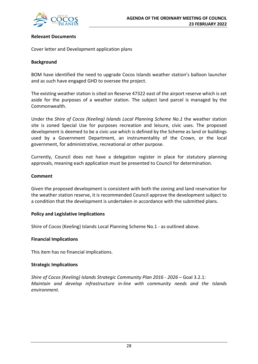

### **Relevant Documents**

Cover letter and Development application plans

### **Background**

BOM have identified the need to upgrade Cocos Islands weather station's balloon launcher and as such have engaged GHD to oversee the project.

The existing weather station is sited on Reserve 47322 east of the airport reserve which is set aside for the purposes of a weather station. The subject land parcel is managed by the Commonwealth.

Under the *Shire of Cocos (Keeling) Islands Local Planning Scheme No.1* the weather station site is zoned Special Use for purposes recreation and leisure, civic uses. The proposed development is deemed to be a civic use which is defined by the Scheme as land or buildings used by a Government Department, an instrumentality of the Crown, or the local government, for administrative, recreational or other purpose.

Currently, Council does not have a delegation register in place for statutory planning approvals, meaning each application must be presented to Council for determination.

#### **Comment**

Given the proposed development is consistent with both the zoning and land reservation for the weather station reserve, it is recommended Council approve the development subject to a condition that the development is undertaken in accordance with the submitted plans.

### **Policy and Legislative Implications**

Shire of Cocos (Keeling) Islands Local Planning Scheme No.1 - as outlined above.

#### **Financial Implications**

This item has no financial implications.

### **Strategic Implications**

*Shire of Cocos (Keeling) Islands Strategic Community Plan 2016 - 2026* – Goal 3.2.1: *Maintain and develop infrastructure in-line with community needs and the Islands environment.*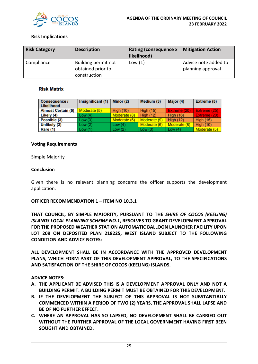

### **Risk Implications**

| <b>Risk Category</b> | <b>Description</b>                       | <b>Rating (consequence x</b><br>likelihood) | <b>Mitigation Action</b>                  |
|----------------------|------------------------------------------|---------------------------------------------|-------------------------------------------|
| Compliance           | Building permit not<br>obtained prior to | Low $(1)$                                   | Advice note added to<br>planning approval |
|                      | construction                             |                                             |                                           |

#### **Risk Matrix**

| <b>Consequence /</b><br>Likelihood | Insignificant (1) | Minor (2)        | Medium (3)       | Major (4)        | Extreme (5)      |
|------------------------------------|-------------------|------------------|------------------|------------------|------------------|
| <b>Almost Certain (5)</b>          | Moderate (5)      | <b>High (10)</b> | <b>High (15)</b> | Extreme (20)     | Extreme (25)     |
| Likely (4)                         | Low $(4)$         | Moderate (8)     | <b>High (12)</b> | <b>High (16)</b> | Extreme (20)     |
| Possible (3)                       | Low(3)            | Moderate (6)     | Moderate (9)     | High $(12)$      | <b>High (15)</b> |
| Unlikely (2)                       | Low(2)            | Low $(4)$        | Moderate (6)     | Moderate (8)     | <b>High (10)</b> |
| Rare (1)                           | Low(1)            | Low(2)           | Low(3)           | Low $(4)$        | Moderate (5)     |

#### **Voting Requirements**

Simple Majority

#### **Conclusion**

Given there is no relevant planning concerns the officer supports the development application.

#### **OFFICER RECOMMENDATION 1 – ITEM NO 10.3.1**

**THAT COUNCIL, BY SIMPLE MAJORITY, PURSUANT TO THE** *SHIRE OF COCOS (KEELING) ISLANDS LOCAL PLANNING SCHEME NO.1***, RESOLVES TO GRANT DEVELOPMENT APPROVAL FOR THE PROPOSED WEATHER STATION AUTOMATIC BALLOON LAUNCHER FACILITY UPON LOT 209 ON DEPOSITED PLAN 218225, WEST ISLAND SUBJECT TO THE FOLLOWING CONDITION AND ADVICE NOTES:** 

**ALL DEVELOPMENT SHALL BE IN ACCORDANCE WITH THE APPROVED DEVELOPMENT PLANS, WHICH FORM PART OF THIS DEVELOPMENT APPROVAL, TO THE SPECIFICATIONS AND SATISFACTION OF THE SHIRE OF COCOS (KEELING) ISLANDS.**

#### **ADVICE NOTES:**

- **A. THE APPLICANT BE ADVISED THIS IS A DEVELOPMENT APPROVAL ONLY AND NOT A BUILDING PERMIT. A BUILDING PERMIT MUST BE OBTAINED FOR THIS DEVELOPMENT.**
- **B. IF THE DEVELOPMENT THE SUBJECT OF THIS APPROVAL IS NOT SUBSTANTIALLY COMMENCED WITHIN A PERIOD OF TWO (2) YEARS, THE APPROVAL SHALL LAPSE AND BE OF NO FURTHER EFFECT.**
- **C. WHERE AN APPROVAL HAS SO LAPSED, NO DEVELOPMENT SHALL BE CARRIED OUT WITHOUT THE FURTHER APPROVAL OF THE LOCAL GOVERNMENT HAVING FIRST BEEN SOUGHT AND OBTAINED.**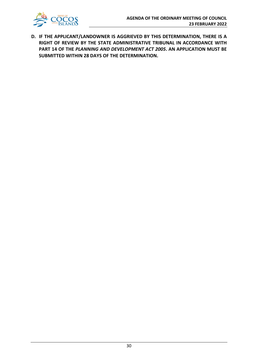

**D. IF THE APPLICANT/LANDOWNER IS AGGRIEVED BY THIS DETERMINATION, THERE IS A RIGHT OF REVIEW BY THE STATE ADMINISTRATIVE TRIBUNAL IN ACCORDANCE WITH PART 14 OF THE** *PLANNING AND DEVELOPMENT ACT 2005***. AN APPLICATION MUST BE SUBMITTED WITHIN 28 DAYS OF THE DETERMINATION.**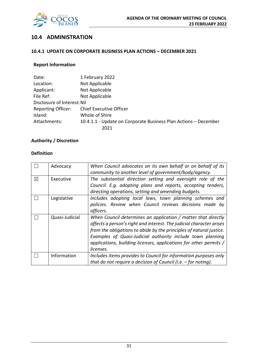

### **10.4 ADMINISTRATION**

### **10.4.1 UPDATE ON CORPORATE BUSINESS PLAN ACTIONS – DECEMBER 2021**

### **Report Information**

| Date:                       | 1 February 2022                                                 |
|-----------------------------|-----------------------------------------------------------------|
| Location:                   | Not Applicable                                                  |
| Applicant:                  | Not Applicable                                                  |
| File Ref:                   | Not Applicable                                                  |
| Disclosure of Interest: Nil |                                                                 |
| <b>Reporting Officer:</b>   | <b>Chief Executive Officer</b>                                  |
| Island:                     | Whole of Shire                                                  |
| Attachments:                | 10.4.1.1 - Update on Corporate Business Plan Actions - December |
|                             | 2021                                                            |

### **Authority / Discretion**

### **Definition**

|             | Advocacy       | When Council advocates on its own behalf or on behalf of its         |
|-------------|----------------|----------------------------------------------------------------------|
|             |                | community to another level of government/body/agency.                |
| $\boxtimes$ | Executive      | The substantial direction setting and oversight role of the          |
|             |                | Council. E.g. adopting plans and reports, accepting tenders,         |
|             |                | directing operations, setting and amending budgets.                  |
|             | Legislative    | Includes adopting local laws, town planning schemes and              |
|             |                | policies. Review when Council reviews decisions made by              |
|             |                | officers.                                                            |
|             | Quasi-Judicial | When Council determines an application / matter that directly        |
|             |                | affects a person's right and interest. The judicial character arises |
|             |                | from the obligations to abide by the principles of natural justice.  |
|             |                | Examples of Quasi-Judicial authority include town planning           |
|             |                | applications, building licenses, applications for other permits /    |
|             |                | licenses.                                                            |
|             | Information    | Includes items provides to Council for information purposes only     |
|             |                | that do not require a decision of Council (i.e. $-$ for noting).     |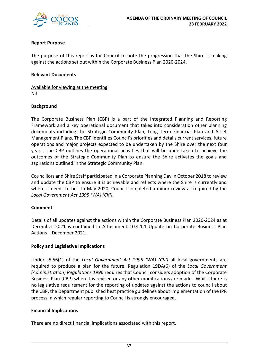

### **Report Purpose**

The purpose of this report is for Council to note the progression that the Shire is making against the actions set out within the Corporate Business Plan 2020-2024.

### **Relevant Documents**

Available for viewing at the meeting Nil

### **Background**

The Corporate Business Plan (CBP) is a part of the Integrated Planning and Reporting Framework and a key operational document that takes into consideration other planning documents including the Strategic Community Plan, Long Term Financial Plan and Asset Management Plans. The CBP identifies Council's priorities and details current services, future operations and major projects expected to be undertaken by the Shire over the next four years. The CBP outlines the operational activities that will be undertaken to achieve the outcomes of the Strategic Community Plan to ensure the Shire activates the goals and aspirations outlined in the Strategic Community Plan.

Councillors and Shire Staff participated in a Corporate Planning Day in October 2018 to review and update the CBP to ensure it is achievable and reflects where the Shire is currently and where it needs to be. In May 2020, Council completed a minor review as required by the *Local Government Act 1995 (WA) (CKI)*.

### **Comment**

Details of all updates against the actions within the Corporate Business Plan 2020-2024 as at December 2021 is contained in Attachment 10.4.1.1 Update on Corporate Business Plan Actions – December 2021.

### **Policy and Legislative Implications**

Under s5.56(1) of the *Local Government Act 1995 (WA) (CKI)* all local governments are required to produce a plan for the future. Regulation 19DA(6) of the *Local Government (Administration) Regulations 1996* requires that Council considers adoption of the Corporate Business Plan (CBP) when it is revised or any other modifications are made. Whilst there is no legislative requirement for the reporting of updates against the actions to council about the CBP, the Department published best practice guidelines about implementation of the IPR process in which regular reporting to Council is strongly encouraged.

### **Financial Implications**

There are no direct financial implications associated with this report.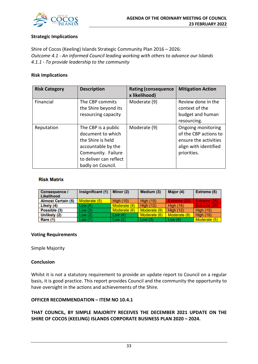

### **Strategic Implications**

Shire of Cocos (Keeling) Islands Strategic Community Plan 2016 – 2026: *Outcome 4.1 - An informed Council leading working with others to advance our Islands 4.1.1 - To provide leadership to the community*

### **Risk Implications**

| <b>Risk Category</b> | <b>Description</b>                                                                                                                                       | <b>Rating (consequence</b><br>x likelihood) | <b>Mitigation Action</b>                                                                                     |
|----------------------|----------------------------------------------------------------------------------------------------------------------------------------------------------|---------------------------------------------|--------------------------------------------------------------------------------------------------------------|
| Financial            | The CBP commits<br>the Shire beyond its<br>resourcing capacity                                                                                           | Moderate (9)                                | Review done in the<br>context of the<br>budget and human<br>resourcing.                                      |
| Reputation           | The CBP is a public<br>document to which<br>the Shire is held<br>accountable by the<br>Community. Failure<br>to deliver can reflect<br>badly on Council. | Moderate (9)                                | Ongoing monitoring<br>of the CBP actions to<br>ensure the activities<br>align with identified<br>priorities. |

#### **Risk Matrix**

| <b>Consequence /</b><br>Likelihood | Insignificant (1) | Minor $(2)$      | Medium (3)       | Major (4)        | Extreme (5)      |
|------------------------------------|-------------------|------------------|------------------|------------------|------------------|
| <b>Almost Certain (5)</b>          | Moderate (5)      | <b>High (10)</b> | <b>High (15)</b> | Extreme (20)     | Extreme (25)     |
| Likely (4)                         | Low (4)           | Moderate (8)     | <b>High (12)</b> | <b>High (16)</b> | Extreme (20)     |
| Possible (3)                       | Low (3)           | Moderate (6)     | Moderate (9)     | <b>High (12)</b> | <b>High (15)</b> |
| Unlikely (2)                       | Low (2)           | Low $(4)$        | Moderate (6)     | Moderate (8)     | <b>High (10)</b> |
| Rare (1)                           | Low (1)           | Low(2)           | Low $(3)$        | Low $(4)$        | Moderate (5)     |

#### **Voting Requirements**

Simple Majority

### **Conclusion**

Whilst it is not a statutory requirement to provide an update report to Council on a regular basis, it is good practice. This report provides Council and the community the opportunity to have oversight in the actions and achievements of the Shire.

### **OFFICER RECOMMENDATION – ITEM NO 10.4.1**

### **THAT COUNCIL, BY SIMPLE MAJORITY RECEIVES THE DECEMBER 2021 UPDATE ON THE SHIRE OF COCOS (KEELING) ISLANDS CORPORATE BUSINESS PLAN 2020 – 2024.**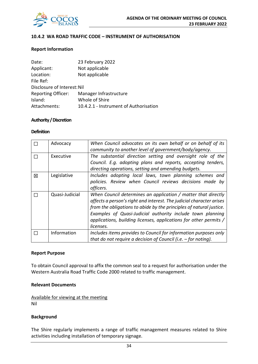

### **10.4.2 WA ROAD TRAFFIC CODE – INSTRUMENT OF AUTHORISATION**

#### **Report Information**

| Date:                       | 23 February 2022                       |
|-----------------------------|----------------------------------------|
| Applicant:                  | Not applicable                         |
| Location:                   | Not applicable                         |
| File Ref:                   |                                        |
| Disclosure of Interest: Nil |                                        |
| <b>Reporting Officer:</b>   | Manager Infrastructure                 |
| Island:                     | Whole of Shire                         |
| Attachments:                | 10.4.2.1 - Instrument of Authorisation |

#### **Authority / Discretion**

#### **Definition**

|   | Advocacy       | When Council advocates on its own behalf or on behalf of its<br>community to another level of government/body/agency. |
|---|----------------|-----------------------------------------------------------------------------------------------------------------------|
|   |                |                                                                                                                       |
|   | Executive      | The substantial direction setting and oversight role of the                                                           |
|   |                | Council. E.g. adopting plans and reports, accepting tenders,                                                          |
|   |                | directing operations, setting and amending budgets.                                                                   |
| 図 | Legislative    | Includes adopting local laws, town planning schemes and                                                               |
|   |                | policies. Review when Council reviews decisions made by                                                               |
|   |                | officers.                                                                                                             |
|   | Quasi-Judicial | When Council determines an application / matter that directly                                                         |
|   |                | affects a person's right and interest. The judicial character arises                                                  |
|   |                | from the obligations to abide by the principles of natural justice.                                                   |
|   |                | Examples of Quasi-Judicial authority include town planning                                                            |
|   |                | applications, building licenses, applications for other permits /                                                     |
|   |                | licenses.                                                                                                             |
|   | Information    | Includes items provides to Council for information purposes only                                                      |
|   |                | that do not require a decision of Council (i.e. $-$ for noting).                                                      |

#### **Report Purpose**

To obtain Council approval to affix the common seal to a request for authorisation under the Western Australia Road Traffic Code 2000 related to traffic management.

#### **Relevant Documents**

Available for viewing at the meeting Nil

#### **Background**

The Shire regularly implements a range of traffic management measures related to Shire activities including installation of temporary signage.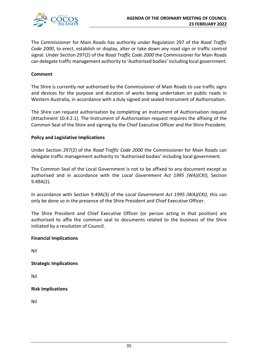

The Commissioner for Main Roads has authority under Regulation 297 of the *Road Traffic Code 2000*, to erect, establish or display, alter or take down any road sign or traffic control signal. Under Section 297(2) of the *Road Traffic Code 2000* the Commissioner for Main Roads can delegate traffic management authority to 'Authorised bodies' including local government.

### **Comment**

The Shire is currently not authorised by the Commissioner of Main Roads to use traffic signs and devices for the purpose and duration of works being undertaken on public roads in Western Australia, in accordance with a duly signed and sealed Instrument of Authorisation.

The Shire can request authorisation by completing an Instrument of Authorisation request (Attachment 10.4.2.1). The Instrument of Authorisation request requires the affixing of the Common Seal of the Shire and signing by the Chief Executive Officer and the Shire President.

#### **Policy and Legislative Implications**

Under Section 297(2) of the *Road Traffic Code 2000* the Commissioner for Main Roads can delegate traffic management authority to 'Authorised bodies' including local government.

The Common Seal of the Local Government is not to be affixed to any document except as authorised and in accordance with the *Local Government Act 1995 (WA)(CKI)*, Section 9.49A(2).

In accordance with Section 9.49A(3) of the *Local Government Act 1995 (WA)(CKI)*, this can only be done so in the presence of the Shire President and Chief Executive Officer.

The Shire President and Chief Executive Officer (or person acting in that position) are authorised to affix the common seal to documents related to the business of the Shire initiated by a resolution of Council.

#### **Financial Implications**

Nil

### **Strategic Implications**

Nil

### **Risk Implications**

Nil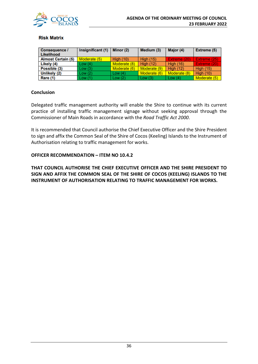

### **Risk Matrix**

| <b>Consequence /</b><br>Likelihood | Insignificant (1) | Minor (2)        | Medium (3)       | Major (4)        | Extreme (5)      |
|------------------------------------|-------------------|------------------|------------------|------------------|------------------|
| <b>Almost Certain (5)</b>          | Moderate (5)      | <b>High (10)</b> | <b>High (15)</b> | Extreme (20)     | Extreme (25)     |
| Likely (4)                         | Low(4)            | Moderate (8)     | High $(12)$      | <b>High (16)</b> | Extreme (20)     |
| Possible (3)                       | Low(3)            | Moderate (6)     | Moderate (9)     | High $(12)$      | <b>High (15)</b> |
| Unlikely (2)                       | Low(2)            | Low(4)           | Moderate (6)     | Moderate (8)     | <b>High (10)</b> |
| Rare (1)                           | Low(1)            | Low $(2)$        | Low $(3)$        | Low $(4)$        | Moderate (5)     |

### **Conclusion**

Delegated traffic management authority will enable the Shire to continue with its current practice of installing traffic management signage without seeking approval through the Commissioner of Main Roads in accordance with the *Road Traffic Act 2000*.

It is recommended that Council authorise the Chief Executive Officer and the Shire President to sign and affix the Common Seal of the Shire of Cocos (Keeling) Islands to the Instrument of Authorisation relating to traffic management for works.

### **OFFICER RECOMMENDATION – ITEM NO 10.4.2**

**THAT COUNCIL AUTHORISE THE CHIEF EXECUTIVE OFFICER AND THE SHIRE PRESIDENT TO SIGN AND AFFIX THE COMMON SEAL OF THE SHIRE OF COCOS (KEELING) ISLANDS TO THE INSTRUMENT OF AUTHORISATION RELATING TO TRAFFIC MANAGEMENT FOR WORKS.**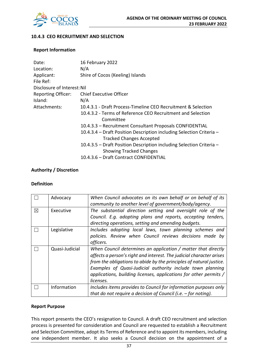

### **10.4.3 CEO RECRUITMENT AND SELECTION**

#### **Report Information**

| Date:                       | 16 February 2022                                                     |
|-----------------------------|----------------------------------------------------------------------|
| Location:                   | N/A                                                                  |
| Applicant:                  | Shire of Cocos (Keeling) Islands                                     |
| File Ref:                   |                                                                      |
| Disclosure of Interest: Nil |                                                                      |
| <b>Reporting Officer:</b>   | <b>Chief Executive Officer</b>                                       |
| Island:                     | N/A                                                                  |
| Attachments:                | 10.4.3.1 - Draft Process-Timeline CEO Recruitment & Selection        |
|                             | 10.4.3.2 - Terms of Reference CEO Recruitment and Selection          |
|                             | Committee                                                            |
|                             | 10.4.3.3 - Recruitment Consultant Proposals CONFIDENTIAL             |
|                             | 10.4.3.4 – Draft Position Description including Selection Criteria – |
|                             | <b>Tracked Changes Accepted</b>                                      |
|                             | 10.4.3.5 – Draft Position Description including Selection Criteria – |
|                             | <b>Showing Tracked Changes</b>                                       |
|                             | 10.4.3.6 - Draft Contract CONFIDENTIAL                               |

### **Authority / Discretion**

#### **Definition**

|             | Advocacy       | When Council advocates on its own behalf or on behalf of its<br>community to another level of government/body/agency.                                                                                                                                                                                                                                        |
|-------------|----------------|--------------------------------------------------------------------------------------------------------------------------------------------------------------------------------------------------------------------------------------------------------------------------------------------------------------------------------------------------------------|
| $\boxtimes$ | Executive      | The substantial direction setting and oversight role of the<br>Council. E.g. adopting plans and reports, accepting tenders,<br>directing operations, setting and amending budgets.                                                                                                                                                                           |
|             | Legislative    | Includes adopting local laws, town planning schemes and<br>policies. Review when Council reviews decisions made by<br>officers.                                                                                                                                                                                                                              |
|             | Quasi-Judicial | When Council determines an application / matter that directly<br>affects a person's right and interest. The judicial character arises<br>from the obligations to abide by the principles of natural justice.<br>Examples of Quasi-Judicial authority include town planning<br>applications, building licenses, applications for other permits /<br>licenses. |
|             | Information    | Includes items provides to Council for information purposes only<br>that do not require a decision of Council (i.e. $-$ for noting).                                                                                                                                                                                                                         |

### **Report Purpose**

This report presents the CEO's resignation to Council. A draft CEO recruitment and selection process is presented for consideration and Council are requested to establish a Recruitment and Selection Committee, adopt its Terms of Reference and to appoint its members, including one independent member. It also seeks a Council decision on the appointment of a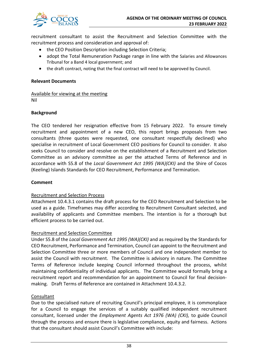

recruitment consultant to assist the Recruitment and Selection Committee with the recruitment process and consideration and approval of:

- the CEO Position Description including Selection Criteria;
- adopt the Total Remuneration Package range in line with the Salaries and Allowances Tribunal for a Band 4 local government; and
- the draft contract, noting that the final contract will need to be approved by Council.

### **Relevant Documents**

Available for viewing at the meeting Nil

### **Background**

The CEO tendered her resignation effective from 15 February 2022. To ensure timely recruitment and appointment of a new CEO, this report brings proposals from two consultants (three quotes were requested, one consultant respectfully declined) who specialise in recruitment of Local Government CEO positions for Council to consider. It also seeks Council to consider and resolve on the establishment of a Recruitment and Selection Committee as an advisory committee as per the attached Terms of Reference and in accordance with S5.8 of the *Local Government Act 1995 (WA)(CKI)* and the Shire of Cocos (Keeling) Islands Standards for CEO Recruitment, Performance and Termination.

### **Comment**

### Recruitment and Selection Process

Attachment 10.4.3.1 contains the draft process for the CEO Recruitment and Selection to be used as a guide. Timeframes may differ according to Recruitment Consultant selected, and availability of applicants and Committee members. The intention is for a thorough but efficient process to be carried out.

### Recruitment and Selection Committee

Under S5.8 of the *Local Government Act 1995 (WA)(CKI)* and as required by the Standards for CEO Recruitment, Performance and Termination, Council can appoint to the Recruitment and Selection Committee three or more members of Council and one independent member to assist the Council with recruitment. The Committee is advisory in nature. The Committee Terms of Reference include keeping Council informed throughout the process, whilst maintaining confidentiality of individual applicants. The Committee would formally bring a recruitment report and recommendation for an appointment to Council for final decisionmaking. Draft Terms of Reference are contained in Attachment 10.4.3.2.

### Consultant

Due to the specialised nature of recruiting Council's principal employee, it is commonplace for a Council to engage the services of a suitably qualified independent recruitment consultant, licensed under the *Employment Agents Act 1976 (WA) (CKI),* to guide Council through the process and ensure there is legislative compliance, equity and fairness. Actions that the consultant should assist Council's Committee with include: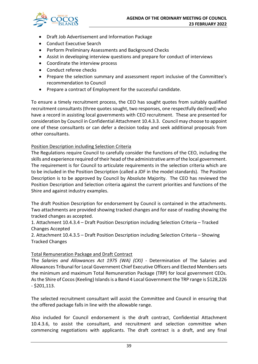

- Draft Job Advertisement and Information Package
- Conduct Executive Search
- Perform Preliminary Assessments and Background Checks
- Assist in developing interview questions and prepare for conduct of interviews
- Coordinate the interview process
- Conduct referee checks
- Prepare the selection summary and assessment report inclusive of the Committee's recommendation to Council
- Prepare a contract of Employment for the successful candidate.

To ensure a timely recruitment process, the CEO has sought quotes from suitably qualified recruitment consultants(three quotes sought, two responses, one respectfully declined) who have a record in assisting local governments with CEO recruitment. These are presented for consideration by Council in Confidential Attachment 10.4.3.3. Council may choose to appoint one of these consultants or can defer a decision today and seek additional proposals from other consultants.

### Position Description including Selection Criteria

The Regulations require Council to carefully consider the functions of the CEO, including the skills and experience required of their head of the administrative arm of the local government. The requirement is for Council to articulate requirements in the selection criteria which are to be included in the Position Description (called a JDF in the model standards). The Position Description is to be approved by Council by Absolute Majority. The CEO has reviewed the Position Description and Selection criteria against the current priorities and functions of the Shire and against industry examples.

The draft Position Description for endorsement by Council is contained in the attachments. Two attachments are provided showing tracked changes and for ease of reading showing the tracked changes as accepted.

1. Attachment 10.4.3.4 – Draft Position Description including Selection Criteria – Tracked Changes Accepted

2. Attachment 10.4.3.5 – Draft Position Description including Selection Criteria – Showing Tracked Changes

### Total Remuneration Package and Draft Contract

The *Salaries and Allowances Act 1975 (WA) (CKI) -* Determination of The Salaries and Allowances Tribunal for Local Government Chief Executive Officers and Elected Memberssets the minimum and maximum Total Remuneration Package (TRP) for local government CEOs. As the Shire of Cocos (Keeling) Islands is a Band 4 Local Government the TRP range is \$128,226 - \$201,113.

The selected recruitment consultant will assist the Committee and Council in ensuring that the offered package falls in line with the allowable range.

Also included for Council endorsement is the draft contract, Confidential Attachment 10.4.3.6, to assist the consultant, and recruitment and selection committee when commencing negotiations with applicants. The draft contract is a draft, and any final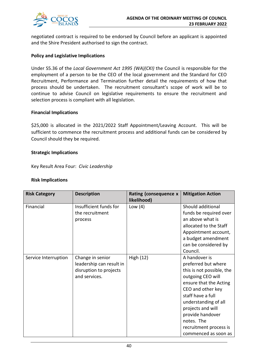

negotiated contract is required to be endorsed by Council before an applicant is appointed and the Shire President authorised to sign the contract.

### **Policy and Legislative Implications**

Under S5.36 of the *Local Government Act 1995 (WA)(CKI)* the Council is responsible for the employment of a person to be the CEO of the local government and the Standard for CEO Recruitment, Performance and Termination further detail the requirements of how that process should be undertaken. The recruitment consultant's scope of work will be to continue to advise Council on legislative requirements to ensure the recruitment and selection process is compliant with all legislation.

#### **Financial Implications**

\$25,000 is allocated in the 2021/2022 Staff Appointment/Leaving Account. This will be sufficient to commence the recruitment process and additional funds can be considered by Council should they be required.

#### **Strategic Implications**

Key Result Area Four: *Civic Leadership*

### **Risk Implications**

| <b>Risk Category</b> | <b>Description</b>                                                                      | Rating (consequence x<br>likelihood) | <b>Mitigation Action</b>                                                                                                                                                                                                                                                                    |
|----------------------|-----------------------------------------------------------------------------------------|--------------------------------------|---------------------------------------------------------------------------------------------------------------------------------------------------------------------------------------------------------------------------------------------------------------------------------------------|
| Financial            | Insufficient funds for<br>the recruitment<br>process                                    | Low $(4)$                            | Should additional<br>funds be required over<br>an above what is<br>allocated to the Staff<br>Appointment account,<br>a budget amendment<br>can be considered by<br>Council.                                                                                                                 |
| Service Interruption | Change in senior<br>leadership can result in<br>disruption to projects<br>and services. | <b>High (12)</b>                     | A handover is<br>preferred but where<br>this is not possible, the<br>outgoing CEO will<br>ensure that the Acting<br>CEO and other key<br>staff have a full<br>understanding of all<br>projects and will<br>provide handover<br>notes. The<br>recruitment process is<br>commenced as soon as |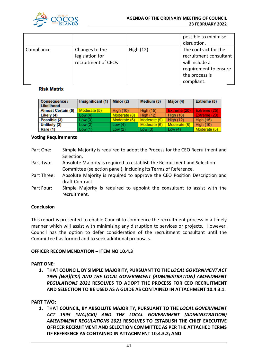

|            |                                                          |             | possible to minimise<br>disruption.                                                                                       |
|------------|----------------------------------------------------------|-------------|---------------------------------------------------------------------------------------------------------------------------|
| Compliance | Changes to the<br>legislation for<br>recruitment of CEOs | High $(12)$ | The contract for the<br>recruitment consultant<br>will include a<br>requirement to ensure<br>the process is<br>compliant. |

### **Risk Matrix**

| Consequence /<br>Likelihood | Insignificant (1) | Minor (2)        | Medium (3)       | Major (4)        | <b>Extreme (5)</b> |
|-----------------------------|-------------------|------------------|------------------|------------------|--------------------|
| <b>Almost Certain (5)</b>   | Moderate (5)      | <b>High (10)</b> | <b>High (15)</b> | Extreme (20)     | Extreme (25)       |
| Likely (4)                  | Low(4)            | Moderate (8)     | <b>High (12)</b> | <b>High (16)</b> | Extreme (20)       |
| Possible (3)                | Low(3)            | Moderate (6)     | Moderate (9)     | High $(12)$      | <b>High (15)</b>   |
| Unlikely (2)                | Low(2)            | Low $(4)$        | Moderate (6)     | Moderate (8)     | <b>High (10)</b>   |
| <b>Rare (1)</b>             | Low(1)            | Low(2)           | Low $(3)$        | Low $(4)$        | Moderate (5)       |

#### **Voting Requirements**

- Part One: Simple Majority is required to adopt the Process for the CEO Recruitment and Selection.
- Part Two: Absolute Majority is required to establish the Recruitment and Selection Committee (selection panel), including its Terms of Reference.
- Part Three: Absolute Majority is required to approve the CEO Position Description and draft Contract
- Part Four: Simple Majority is required to appoint the consultant to assist with the recruitment.

### **Conclusion**

This report is presented to enable Council to commence the recruitment process in a timely manner which will assist with minimising any disruption to services or projects. However, Council has the option to defer consideration of the recruitment consultant until the Committee has formed and to seek additional proposals.

### **OFFICER RECOMMENDATION – ITEM NO 10.4.3**

### **PART ONE:**

**1. THAT COUNCIL, BY SIMPLE MAJORITY, PURSUANT TO THE** *LOCAL GOVERNMENT ACT 1995 (WA)(CKI) AND THE LOCAL GOVERNMENT (ADMINISTRATION) AMENDMENT REGULATIONS 2021* **RESOLVES TO ADOPT THE PROCESS FOR CEO RECRUITMENT AND SELECTION TO BE USED AS A GUIDE AS CONTAINED IN ATTACHMENT 10.4.3.1.**

### **PART TWO:**

**1. THAT COUNCIL, BY ABSOLUTE MAJORITY, PURSUANT TO THE** *LOCAL GOVERNMENT ACT 1995 (WA)(CKI) AND THE LOCAL GOVERNMENT (ADMINISTRATION) AMENDMENT REGULATIONS 2021* **RESOLVES TO ESTABLISH THE CHIEF EXECUTIVE OFFICER RECRUITMENT AND SELECTION COMMITTEE AS PER THE ATTACHED TERMS OF REFERENCE AS CONTAINED IN ATTACHMENT 10.4.3.2; AND**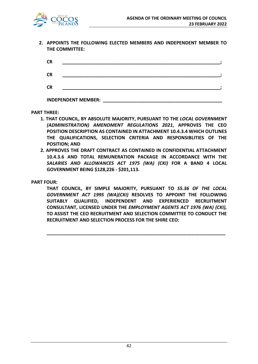

**2. APPOINTS THE FOLLOWING ELECTED MEMBERS AND INDEPENDENT MEMBER TO THE COMMITTEE:**

| <b>CR</b> |  |
|-----------|--|
| <b>CR</b> |  |
| <b>CR</b> |  |

**INDEPENDENT MEMBER: \_\_\_\_\_\_\_\_\_\_\_\_\_\_\_\_\_\_\_\_\_\_\_\_\_\_\_\_\_\_\_\_\_\_\_\_\_\_\_\_\_\_\_\_\_\_**

**PART THREE:**

- **1. THAT COUNCIL, BY ABSOLUTE MAJORITY, PURSUANT TO THE** *LOCAL GOVERNMENT (ADMINISTRATION) AMENDMENT REGULATIONS 2021***, APPROVES THE CEO POSITION DESCRIPTION AS CONTAINED IN ATTACHMENT 10.4.3.4 WHICH OUTLINES THE QUALIFICATIONS, SELECTION CRITERIA AND RESPONSIBLITIES OF THE POSITION; AND**
- **2. APPROVES THE DRAFT CONTRACT AS CONTAINED IN CONFIDENTIAL ATTACHMENT 10.4.3.6 AND TOTAL REMUNERATION PACKAGE IN ACCORDANCE WITH THE**  *SALARIES AND ALLOWANCES ACT 1975 (WA) (CKI)* **FOR A BAND 4 LOCAL GOVERNMENT BEING \$128,226 - \$201,113.**

**PART FOUR:**

**THAT COUNCIL, BY SIMPLE MAJORITY, PURSUANT TO** *S5.36 OF THE LOCAL GOVERNMENT ACT 1995 (WA)(CKI)* **RESOLVES TO APPOINT THE FOLLOWING SUITABLY QUALIFIED, INDEPENDENT AND EXPERIENCED RECRUITMENT CONSULTANT, LICENSED UNDER THE** *EMPLOYMENT AGENTS ACT 1976 (WA) (CKI),*  **TO ASSIST THE CEO RECRUITMENT AND SELECTION COMMITTEE TO CONDUCT THE RECRUITMENT AND SELECTION PROCESS FOR THE SHIRE CEO:** 

**\_\_\_\_\_\_\_\_\_\_\_\_\_\_\_\_\_\_\_\_\_\_\_\_\_\_\_\_\_\_\_\_\_\_\_\_\_\_\_\_\_\_\_\_\_\_\_\_\_\_\_\_\_\_\_\_\_\_\_\_\_\_\_\_\_\_\_\_\_**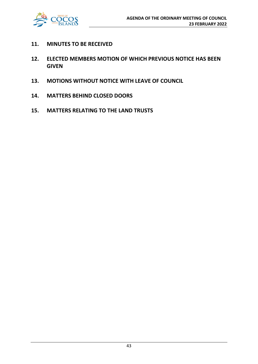

- **11. MINUTES TO BE RECEIVED**
- **12. ELECTED MEMBERS MOTION OF WHICH PREVIOUS NOTICE HAS BEEN GIVEN**
- **13. MOTIONS WITHOUT NOTICE WITH LEAVE OF COUNCIL**
- **14. MATTERS BEHIND CLOSED DOORS**
- **15. MATTERS RELATING TO THE LAND TRUSTS**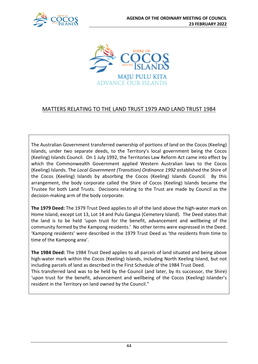



### MATTERS RELATING TO THE LAND TRUST 1979 AND LAND TRUST 1984

The Australian Government transferred ownership of portions of land on the Cocos (Keeling) Islands, under two separate deeds, to the Territory's local government being the Cocos (Keeling) Islands Council. On 1 July 1992, the Territories Law Reform Act came into effect by which the Commonwealth Government applied Western Australian laws to the Cocos (Keeling) Islands. The *Local Government (Transition) Ordinance 1992* established the Shire of the Cocos (Keeling) Islands by absorbing the Cocos (Keeling) Islands Council. By this arrangement, the body corporate called the Shire of Cocos (Keeling) Islands became the Trustee for both Land Trusts. Decisions relating to the Trust are made by Council as the decision-making arm of the body corporate.

**The 1979 Deed:** The 1979 Trust Deed applies to all of the land above the high-water mark on Home Island, except Lot 13, Lot 14 and Pulu Gangsa (Cemetery Island). The Deed states that the land is to be held 'upon trust for the benefit, advancement and wellbeing of the community formed by the Kampong residents.' No other terms were expressed in the Deed. 'Kampong residents' were described in the 1979 Trust Deed as 'the residents from time to time of the Kampong area'.

**The 1984 Deed:** The 1984 Trust Deed applies to all parcels of land situated and being above high-water mark within the Cocos (Keeling) Islands, including North Keeling Island, but not including parcels of land as described in the First Schedule of the 1984 Trust Deed. This transferred land was to be held by the Council (and later, by its successor, the Shire) 'upon trust for the benefit, advancement and wellbeing of the Cocos (Keeling) Islander's resident in the Territory on land owned by the Council."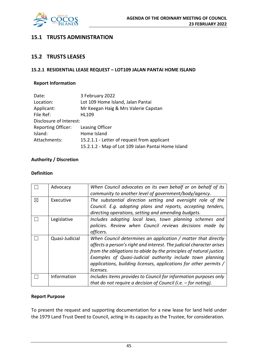

### **15.1 TRUSTS ADMINISTRATION**

### **15.2 TRUSTS LEASES**

### **15.2.1 RESIDENTIAL LEASE REQUEST – LOT109 JALAN PANTAI HOME ISLAND**

### **Report Information**

| Date:                     | 3 February 2022                                    |
|---------------------------|----------------------------------------------------|
| Location:                 | Lot 109 Home Island, Jalan Pantai                  |
| Applicant:                | Mr Keegan Haig & Mrs Valerie Capstan               |
| File Ref:                 | HL109                                              |
| Disclosure of Interest:   |                                                    |
| <b>Reporting Officer:</b> | Leasing Officer                                    |
| Island:                   | Home Island                                        |
| Attachments:              | 15.2.1.1 - Letter of request from applicant        |
|                           | 15.2.1.2 - Map of Lot 109 Jalan Pantai Home Island |

### **Authority / Discretion**

### **Definition**

|             | Advocacy       | When Council advocates on its own behalf or on behalf of its<br>community to another level of government/body/agency.                                                                                                                                                                                                                                        |
|-------------|----------------|--------------------------------------------------------------------------------------------------------------------------------------------------------------------------------------------------------------------------------------------------------------------------------------------------------------------------------------------------------------|
| $\boxtimes$ | Executive      | The substantial direction setting and oversight role of the<br>Council. E.g. adopting plans and reports, accepting tenders,<br>directing operations, setting and amending budgets.                                                                                                                                                                           |
|             | Legislative    | Includes adopting local laws, town planning schemes and<br>policies. Review when Council reviews decisions made by<br>officers.                                                                                                                                                                                                                              |
|             | Quasi-Judicial | When Council determines an application / matter that directly<br>affects a person's right and interest. The judicial character arises<br>from the obligations to abide by the principles of natural justice.<br>Examples of Quasi-Judicial authority include town planning<br>applications, building licenses, applications for other permits /<br>licenses. |
|             | Information    | Includes items provides to Council for information purposes only<br>that do not require a decision of Council (i.e. $-$ for noting).                                                                                                                                                                                                                         |

### **Report Purpose**

To present the request and supporting documentation for a new lease for land held under the 1979 Land Trust Deed to Council, acting in its capacity as the Trustee, for consideration.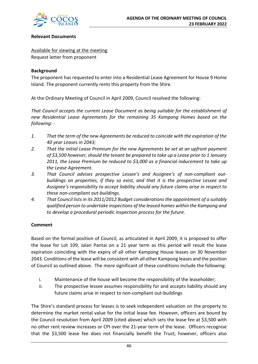

### **Relevant Documents**

Available for viewing at the meeting Request letter from proponent

### **Background**

The proponent has requested to enter into a Residential Lease Agreement for House 9 Home Island. The proponent currently rents this property from the Shire.

At the Ordinary Meeting of Council in April 2009, Council resolved the following:

*That Council accepts the current Lease Document as being suitable for the establishment of new Residential Lease Agreements for the remaining 35 Kampong Homes based on the following: -*

- *1. That the term of the new Agreements be reduced to coincide with the expiration of the 40 year Leases in 2043;*
- *2. That the initial Lease Premium for the new Agreements be set at an upfront payment of \$3,500 however, should the tenant be prepared to take up a Lease prior to 1 January 2011, the Lease Premium be reduced to \$3,000 as a financial inducement to take up the Lease Agreement.*
- *3. That Council advises prospective Lessee's and Assignee's of non-compliant outbuildings on properties, if they so exist, and that it is the prospective Lessee and Assignee's responsibility to accept liability should any future claims arise in respect to these non-compliant out-buildings.*
- *4. That Council lists in its 2011/2012 Budget considerations the appointment of a suitably qualified person to undertake inspections of the leased homes within the Kampong and to develop a procedural periodic inspection process for the future.*

### **Comment**

Based on the formal position of Council, as articulated in April 2009, it is proposed to offer the lease for Lot 109, Jalan Pantai on a 21 year term as this period will result the lease expiration coinciding with the expiry of all other Kampong House leases on 30 November 2043. Conditions of the lease will be consistent with all other Kampong leases and the position of Council as outlined above. The more significant of these conditions include the following:

- i. Maintenance of the house will become the responsibility of the leaseholder;
- ii. The prospective lessee assumes responsibility for and accepts liability should any future claims arise in respect to non-compliant out-buildings

The Shire's standard process for leases is to seek independent valuation on the property to determine the market rental value for the initial lease fee. However, officers are bound by the Council resolution from April 2009 (cited above) which sets the lease fee at \$3,500 with no other rent review increases or CPI over the 21-year term of the lease. Officers recognise that the \$3,500 lease fee does not financially benefit the Trust; however, officers also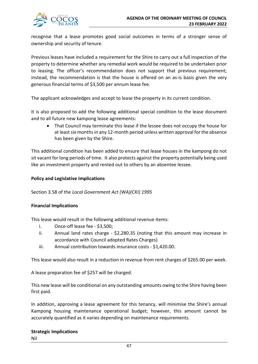

recognise that a lease promotes good social outcomes in terms of a stronger sense of ownership and security of tenure.

Previous leases have included a requirement for the Shire to carry out a full inspection of the property to determine whether any remedial work would be required to be undertaken prior to leasing. The officer's recommendation does not support that previous requirement; instead, the recommendation is that the house is offered on an as-is basis given the very generous financial terms of \$3,500 per annum lease fee.

The applicant acknowledges and accept to lease the property in its current condition.

It is also proposed to add the following additional special condition to the lease document and to all future new kampong lease agreements:

• That Council may terminate this lease if the lessee does not occupy the house for at least six months in any 12-month period unless written approval for the absence has been given by the Shire.

This additional condition has been added to ensure that lease houses in the kampong do not sit vacant for long periods of time. It also protects against the property potentially being used like an investment property and rented out to others by an absentee lessee.

### **Policy and Legislative Implications**

### Section 3.58 of the *Local Government Act (WA)(CKI) 1995*

### **Financial Implications**

This lease would result in the following additional revenue items:

- i. Once-off lease fee \$3,500;
- ii. Annual land rates charge \$2,280.35 (noting that this amount may increase in accordance with Council adopted Rates Charges)
- iii. Annual contribution towards insurance costs \$1,420.00.

This lease would also result in a reduction in revenue from rent charges of \$265.00 per week.

A lease preparation fee of \$257 will be charged.

This new lease will be conditional on any outstanding amounts owing to the Shire having been first paid.

In addition, approving a lease agreement for this tenancy, will minimise the Shire's annual Kampong housing maintenance operational budget; however, this amount cannot be accurately quantified as it varies depending on maintenance requirements.

### **Strategic Implications**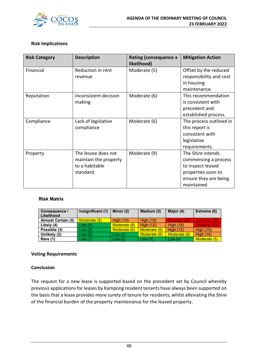

### **Risk Implications**

| <b>Risk Category</b> | <b>Description</b>    | <b>Rating (consequence x</b><br>likelihood) | <b>Mitigation Action</b> |
|----------------------|-----------------------|---------------------------------------------|--------------------------|
| Financial            | Reduction in rent     | Moderate (5)                                | Offset by the reduced    |
|                      | revenue               |                                             | responsibility and cost  |
|                      |                       |                                             | in housing               |
|                      |                       |                                             | maintenance.             |
| Reputation           | Inconsistent decision | Moderate (6)                                | This recommendation      |
|                      | making                |                                             | is consistent with       |
|                      |                       |                                             | precedent and            |
|                      |                       |                                             | established process.     |
| Compliance           | Lack of legislative   | Moderate (6)                                | The process outlined in  |
|                      | compliance            |                                             | this report is           |
|                      |                       |                                             | consistent with          |
|                      |                       |                                             | legislative              |
|                      |                       |                                             | requirements.            |
| Property             | The lessee does not   | Moderate (9)                                | The Shire intends        |
|                      | maintain the property |                                             | commencing a process     |
|                      | to a habitable        |                                             | to inspect leased        |
|                      | standard.             |                                             | properties soon to       |
|                      |                       |                                             | ensure they are being    |
|                      |                       |                                             | maintained.              |

### **Risk Matrix**

| Consequence /             | Insignificant (1) | Minor (2)        | Medium (3)       | Major (4)        | Extreme (5)         |
|---------------------------|-------------------|------------------|------------------|------------------|---------------------|
| Likelihood                |                   |                  |                  |                  |                     |
| <b>Almost Certain (5)</b> | Moderate (5)      | <b>High (10)</b> | <b>High (15)</b> | Extreme (20)     | <b>Extreme (25)</b> |
| Likely (4)                | Low(4)            | Moderate (8)     | <b>High (12)</b> | <b>High (16)</b> | Extreme (20)        |
| Possible (3)              | Low(3)            | Moderate (6)     | Moderate (9)     | <b>High (12)</b> | High $(15)$         |
| Unlikely (2)              | Low(2)            | Low $(4)$        | Moderate (6)     | Moderate (8)     | <b>High (10)</b>    |
| Rare (1)                  | Low(1)            | Low(2)           | Low $(3)$        | Low $(4)$        | Moderate (5)        |

### **Voting Requirements**

### **Conclusion**

The request for a new lease is supported based on the precedent set by Council whereby previous applications for leases by Kampong resident tenants have always been supported on the basis that a lease provides more surety of tenure for residents, whilst alleviating the Shire of the financial burden of the property maintenance for the leased property.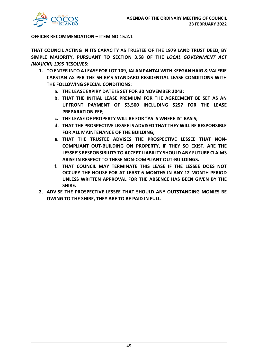

### **OFFICER RECOMMENDATION – ITEM NO 15.2.1**

**THAT COUNCIL ACTING IN ITS CAPACITY AS TRUSTEE OF THE 1979 LAND TRUST DEED, BY SIMPLE MAJORITY, PURSUANT TO SECTION 3.58 OF THE** *LOCAL GOVERNMENT ACT (WA)(CKI) 1995* **RESOLVES:**

- **1. TO ENTER INTO A LEASE FOR LOT 109, JALAN PANTAI WITH KEEGAN HAIG & VALERIE CAPSTAN AS PER THE SHIRE'S STANDARD RESIDENTIAL LEASE CONDITIONS WITH THE FOLLOWING SPECIAL CONDITIONS:**
	- **a. THE LEASE EXPIRY DATE IS SET FOR 30 NOVEMBER 2043;**
	- **b. THAT THE INITIAL LEASE PREMIUM FOR THE AGREEMENT BE SET AS AN UPFRONT PAYMENT OF \$3,500 INCLUDING \$257 FOR THE LEASE PREPARATION FEE;**
	- **c. THE LEASE OF PROPERTY WILL BE FOR "AS IS WHERE IS" BASIS;**
	- **d. THAT THE PROSPECTIVE LESSEE IS ADVISED THAT THEY WILL BE RESPONSIBLE FOR ALL MAINTENANCE OF THE BUILDING;**
	- **e. THAT THE TRUSTEE ADVISES THE PROSPECTIVE LESSEE THAT NON-COMPLIANT OUT-BUILDING ON PROPERTY, IF THEY SO EXIST, ARE THE LESSEE'S RESPONSIBILITY TO ACCEPT LIABILITY SHOULD ANY FUTURE CLAIMS ARISE IN RESPECT TO THESE NON-COMPLIANT OUT-BUILDINGS.**
	- **f. THAT COUNCIL MAY TERMINATE THIS LEASE IF THE LESSEE DOES NOT OCCUPY THE HOUSE FOR AT LEAST 6 MONTHS IN ANY 12 MONTH PERIOD UNLESS WRITTEN APPROVAL FOR THE ABSENCE HAS BEEN GIVEN BY THE SHIRE.**
- **2. ADVISE THE PROSPECTIVE LESSEE THAT SHOULD ANY OUTSTANDING MONIES BE OWING TO THE SHIRE, THEY ARE TO BE PAID IN FULL.**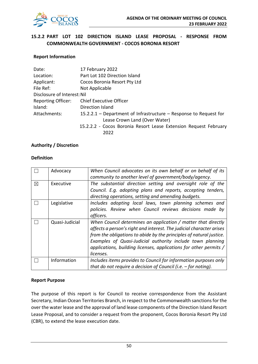

### **15.2.2 PART LOT 102 DIRECTION ISLAND LEASE PROPOSAL - RESPONSE FROM COMMONWEALTH GOVERNMENT - COCOS BORONIA RESORT**

### **Report Information**

| Date:                       | 17 February 2022                                                  |
|-----------------------------|-------------------------------------------------------------------|
| Location:                   | Part Lot 102 Direction Island                                     |
| Applicant:                  | Cocos Boronia Resort Pty Ltd                                      |
| File Ref:                   | Not Applicable                                                    |
| Disclosure of Interest: Nil |                                                                   |
| Reporting Officer:          | <b>Chief Executive Officer</b>                                    |
| Island:                     | Direction Island                                                  |
| Attachments:                | 15.2.2.1 - Department of Infrastructure - Response to Request for |
|                             | Lease Crown Land (Over Water)                                     |
|                             | 15.2.2.2 - Cocos Boronia Resort Lease Extension Request February  |
|                             | 2022                                                              |

### **Authority / Discretion**

#### **Definition**

|             | Advocacy       | When Council advocates on its own behalf or on behalf of its<br>community to another level of government/body/agency.                                                                                                                                                                                                                                        |
|-------------|----------------|--------------------------------------------------------------------------------------------------------------------------------------------------------------------------------------------------------------------------------------------------------------------------------------------------------------------------------------------------------------|
| $\boxtimes$ | Executive      | The substantial direction setting and oversight role of the<br>Council. E.g. adopting plans and reports, accepting tenders,<br>directing operations, setting and amending budgets.                                                                                                                                                                           |
|             | Legislative    | Includes adopting local laws, town planning schemes and<br>policies. Review when Council reviews decisions made by<br>officers.                                                                                                                                                                                                                              |
|             | Quasi-Judicial | When Council determines an application / matter that directly<br>affects a person's right and interest. The judicial character arises<br>from the obligations to abide by the principles of natural justice.<br>Examples of Quasi-Judicial authority include town planning<br>applications, building licenses, applications for other permits /<br>licenses. |
|             | Information    | Includes items provides to Council for information purposes only<br>that do not require a decision of Council (i.e. $-$ for noting).                                                                                                                                                                                                                         |

### **Report Purpose**

The purpose of this report is for Council to receive correspondence from the Assistant Secretary, Indian Ocean Territories Branch, in respect to the Commonwealth sanctions for the over the water lease and the approval of land lease components of the Direction Island Resort Lease Proposal, and to consider a request from the proponent, Cocos Boronia Resort Pty Ltd (CBR), to extend the lease execution date.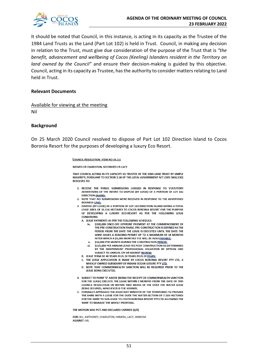

It should be noted that Council, in this instance, is acting in its capacity as the Trustee of the 1984 Land Trusts as the Land (Part Lot 102) is held in Trust. Council, in making any decision in relation to the Trust, must give due consideration of the purpose of the Trust that is *"the benefit, advancement and wellbeing of Cocos (Keeling) Islanders resident in the Territory on land owned by the Council"* and ensure their decision-making is guided by this objective. Council, acting in its capacity as Trustee, has the authority to consider matters relating to Land held in Trust.

#### **Relevant Documents**

Available for viewing at the meeting Nil

#### **Background**

On 25 March 2020 Council resolved to dispose of Part Lot 102 Direction Island to Cocos Boronia Resort for the purposes of developing a luxury Eco Resort.

#### COUNCIL RESOLUTION - ITEM NO 14.2.1

MOVED CR CHARLSTON, SECONDED CR LACY

THAT COUNCIL ACTING IN ITS CAPACITY AS TRUSTEE OF THE 1984 LAND TRUST BY SIMPLE MAJORITY, PURSUANT TO SECTION 3.58 OF THE LOCAL GOVERNMENT ACT 1995 (WA) (CKI) **RESOLVES TO:** 

- 1. RECEIVE THE PUBLIC SUBMISSIONS LODGED IN RESPONSE TO STATUTORY ADVERTISING OF THE INTENT TO DISPOSE (BY LEASE) OF A PORTION OF LOT 102 **DIRECTION ISLAND:**
- 2. NOTE THAT NO SUBMISSIONS WERE RECEIVED IN RESPONSE TO THE ADVERTISED **BUSINESS CASE:**

3. DISPOSE (BY LEASE) OF A PORTION OF LOT 102 DIRECTION ISLAND GIVING A TOTAL LEASE AREA OF 16.116 HECTARES TO COCOS BORONIA RESORT FOR THE PURPOSE OF DEVELOPING A LUXURY ECO-RESORT AS PER THE FOLLOWING LEASE **CONDITIONS:** 

A. LEASE PAYMENTS AS PER THE FOLLOWING SCHEDULE:

- \$100,000 ONCE-OFF UPFRONT PAYMENT AT THE COMMENCEMENT OF iv. THE PRE-CONSTRUCTION PHASE, PRE-CONSTRUCTION IS DEFINED AS THE PERIOD FROM THE DATE THE LEASE IS EXECUTED UNTIL THE DATE THE SHIRE ISSUES A BUILDING PERMIT UP TO A MAXIMUM OF 18 MONTHS AFTER WHICH A \$5,000 MONTHLY FEE WILL BE ALSO PAYABLE:
- \$10,000 PER MONTH DURING THE CONSTRUCTION PERIOD:  $\mathbf{v}$
- \$225,000 PFR ANNUM LEASE EFF POST CONSTRUCTION AS DETERMINED vi. BY THE INDEPENDENT PROFESSIONAL VALUATION BY OPTEON AND SUBJECT TO ANNUAL CPI OR MARKET REVIEW:
- B. LEASE TERM OF 40 YEARS PLUS 20 YEARS PLUS 20 YEARS;
- C. THE LEASE APPLICATION IS MADE BY COCOS BORONIA RESORT PTY LTD, A WHOLLY OWNED SUBSIDIARY OF INDIAN OCEAN LEISURE PTY LTD;
- D. NOTE THAT COMMONWEALTH SANCTION WILL BE REQUIRED PRIOR TO THE LEASE BEING EXECUTED.
- 4. SUBJECT TO POINT 'D' ABOVE (BEING THE RECEIPT OF COMMONWEALTH SANCTION FOR THE LEASE) EXECUTE THE LEASE WITHIN 9 MONTHS FROM THE DATE OF THIS COUNCIL RESOLUTION OR WITHIN TWO WEEKS OF THE OVER THE WATER LEASE BEING SECURED, WHICHEVER IS THE SOONER.
- 5. FORMALLY APPROACH THE ASSISTANT MINISTER OF THE TERRITORIES TO PROVIDE THE SHIRE WITH A LEASE FOR THE OVER THE WATER SECTION OF 7.110 HECTARES FOR THE SHIRE TO SUB-LEASE TO COCOS BORONIA RESORT PTY LTD ALLOWING THE SHIRE TO MANAGE THE WHOLE PROPOSAL.

THE MOTION WAS PUT AND DECLARED CARRIED (6/0)

FOR: IKU, ANTHONEY, CHARLSTON, HAMIRIL, LACY, MINKOM **AGAINST: NIL**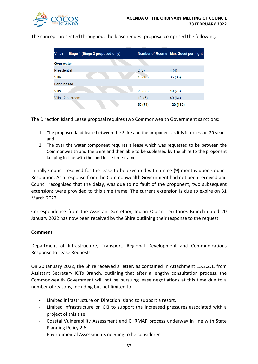

The concept presented throughout the lease request proposal comprised the following:

| Villas — Stage 1 (Stage 2 proposed only) |         | Number of Rooms Max Guest per night |
|------------------------------------------|---------|-------------------------------------|
| Over water                               |         |                                     |
| Presidential                             | 2(2)    | 4(4)                                |
| Villa                                    | 18(18)  | 36(36)                              |
| <b>Land based</b>                        |         |                                     |
| Villa                                    | 20(38)  | 40 (76)                             |
| Villa - 2 bedroom                        | 10(6)   | 40 (64)                             |
|                                          | 50 (74) | 120 (180)                           |

The Direction Island Lease proposal requires two Commonwealth Government sanctions:

- 1. The proposed land lease between the Shire and the proponent as it is in excess of 20 years; and
- 2. The over the water component requires a lease which was requested to be between the Commonwealth and the Shire and then able to be subleased by the Shire to the proponent keeping in-line with the land lease time frames.

Initially Council resolved for the lease to be executed within nine (9) months upon Council Resolution. As a response from the Commonwealth Government had not been received and Council recognised that the delay, was due to no fault of the proponent, two subsequent extensions were provided to this time frame. The current extension is due to expire on 31 March 2022.

Correspondence from the Assistant Secretary, Indian Ocean Territories Branch dated 20 January 2022 has now been received by the Shire outlining their response to the request.

### **Comment**

Department of Infrastructure, Transport, Regional Development and Communications Response to Lease Requests

On 20 January 2022, the Shire received a letter, as contained in Attachment 15.2.2.1, from Assistant Secretary IOTs Branch, outlining that after a lengthy consultation process, the Commonwealth Government will not be pursuing lease negotiations at this time due to a number of reasons, including but not limited to:

- Limited infrastructure on Direction Island to support a resort,
- Limited infrastructure on CKI to support the increased pressures associated with a project of this size,
- Coastal Vulnerability Assessment and CHRMAP process underway in line with State Planning Policy 2.6,
- Environmental Assessments needing to be considered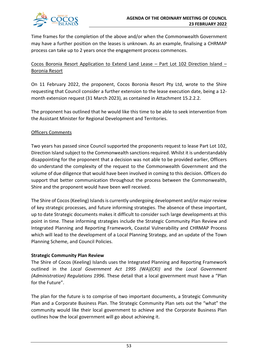

Time frames for the completion of the above and/or when the Commonwealth Government may have a further position on the leases is unknown. As an example, finalising a CHRMAP process can take up to 2 years once the engagement process commences.

### Cocos Boronia Resort Application to Extend Land Lease – Part Lot 102 Direction Island – Boronia Resort

On 11 February 2022, the proponent, Cocos Boronia Resort Pty Ltd, wrote to the Shire requesting that Council consider a further extension to the lease execution date, being a 12 month extension request (31 March 2023), as contained in Attachment 15.2.2.2.

The proponent has outlined that he would like this time to be able to seek intervention from the Assistant Minister for Regional Development and Territories.

### Officers Comments

Two years has passed since Council supported the proponents request to lease Part Lot 102, Direction Island subject to the Commonwealth sanctions required. Whilst it is understandably disappointing for the proponent that a decision was not able to be provided earlier, Officers do understand the complexity of the request to the Commonwealth Government and the volume of due diligence that would have been involved in coming to this decision. Officers do support that better communication throughout the process between the Commonwealth, Shire and the proponent would have been well received.

The Shire of Cocos (Keeling) Islands is currently undergoing development and/or major review of key strategic processes, and future informing strategies. The absence of these important, up to date Strategic documents makes it difficult to consider such large developments at this point in time. These informing strategies include the Strategic Community Plan Review and Integrated Planning and Reporting Framework, Coastal Vulnerability and CHRMAP Process which will lead to the development of a Local Planning Strategy, and an update of the Town Planning Scheme, and Council Policies.

### **Strategic Community Plan Review**

The Shire of Cocos (Keeling) Islands uses the Integrated Planning and Reporting Framework outlined in the *Local Government Act 1995 (WA)(CKI)* and the *Local Government (Administration) Regulations 1996*. These detail that a local government must have a "Plan for the Future".

The plan for the future is to comprise of two important documents, a Strategic Community Plan and a Corporate Business Plan. The Strategic Community Plan sets out the "what" the community would like their local government to achieve and the Corporate Business Plan outlines how the local government will go about achieving it.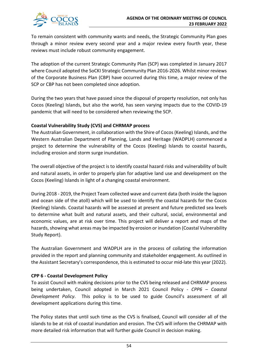

To remain consistent with community wants and needs, the Strategic Community Plan goes through a minor review every second year and a major review every fourth year, these reviews must include robust community engagement.

The adoption of the current Strategic Community Plan (SCP) was completed in January 2017 where Council adopted the SoCKI Strategic Community Plan 2016-2026. Whilst minor reviews of the Corporate Business Plan (CBP) have occurred during this time, a major review of the SCP or CBP has not been completed since adoption.

During the two years that have passed since the disposal of property resolution, not only has Cocos (Keeling) Islands, but also the world, has seen varying impacts due to the COVID-19 pandemic that will need to be considered when reviewing the SCP.

### **Coastal Vulnerability Study (CVS) and CHRMAP process**

The Australian Government, in collaboration with the Shire of Cocos (Keeling) Islands, and the Western Australian Department of Planning, Lands and Heritage (WADPLH) commenced a project to determine the vulnerability of the Cocos (Keeling) Islands to coastal hazards, including erosion and storm surge inundation.

The overall objective of the project is to identify coastal hazard risks and vulnerability of built and natural assets, in order to properly plan for adaptive land use and development on the Cocos (Keeling) Islands in light of a changing coastal environment.

During 2018 - 2019, the Project Team collected wave and current data (both inside the lagoon and ocean side of the atoll) which will be used to identify the coastal hazards for the Cocos (Keeling) Islands. Coastal hazards will be assessed at present and future predicted sea levels to determine what built and natural assets, and their cultural, social, environmental and economic values, are at risk over time. This project will deliver a report and maps of the hazards, showing what areas may be impacted by erosion or inundation (Coastal Vulnerability Study Report).

The Australian Government and WADPLH are in the process of collating the information provided in the report and planning community and stakeholder engagement. As outlined in the Assistant Secretary's correspondence, this is estimated to occur mid-late this year (2022).

### **CPP 6 - Coastal Development Policy**

To assist Council with making decisions prior to the CVS being released and CHRMAP process being undertaken, Council adopted in March 2021 Council Policy - *CPP6 – Coastal Development Policy*. This policy is to be used to guide Council's assessment of all development applications during this time.

The Policy states that until such time as the CVS is finalised, Council will consider all of the islands to be at risk of coastal inundation and erosion. The CVS will inform the CHRMAP with more detailed risk information that will further guide Council in decision making.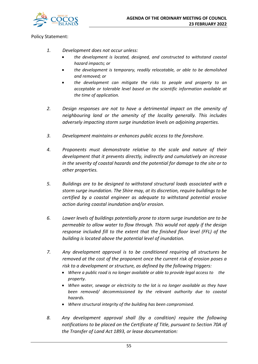

Policy Statement:

- *1. Development does not occur unless:*
	- *the development is located, designed, and constructed to withstand coastal hazard impacts; or*
	- *the development is temporary, readily relocatable, or able to be demolished and removed; or*
	- *the development can mitigate the risks to people and property to an acceptable or tolerable level based on the scientific information available at the time of application.*
- *2. Design responses are not to have a detrimental impact on the amenity of neighbouring land or the amenity of the locality generally. This includes adversely impacting storm surge inundation levels on adjoining properties.*
- *3. Development maintains or enhances public access to the foreshore.*
- *4. Proponents must demonstrate relative to the scale and nature of their development that it prevents directly, indirectly and cumulatively an increase in the severity of coastal hazards and the potential for damage to the site or to other properties.*
- *5. Buildings are to be designed to withstand structural loads associated with a storm surge inundation. The Shire may, at its discretion, require buildings to be certified by a coastal engineer as adequate to withstand potential erosive action during coastal inundation and/or erosion.*
- *6. Lower levels of buildings potentially prone to storm surge inundation are to be permeable to allow water to flow through. This would not apply if the design response included fill to the extent that the finished floor level (FFL) of the building is located above the potential level of inundation.*
- *7. Any development approval is to be conditioned requiring all structures be removed at the cost of the proponent once the current risk of erosion poses a risk to a development or structure, as defined by the following triggers:*
	- *Where a public road is no longer available or able to provide legal access to the property.*
	- *When water, sewage or electricity to the lot is no longer available as they have been removed/ decommissioned by the relevant authority due to coastal hazards.*
	- *Where structural integrity of the building has been compromised.*
- *8. Any development approval shall (by a condition) require the following notifications to be placed on the Certificate of Title, pursuant to Section 70A of the Transfer of Land Act 1893, or lease documentation:*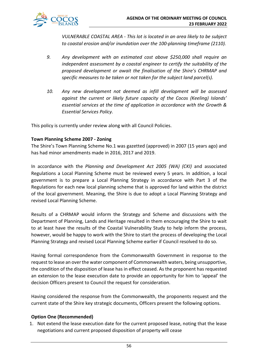

*VULNERABLE COASTAL AREA - This lot is located in an area likely to be subject to coastal erosion and/or inundation over the 100-planning timeframe (2110).*

- *9. Any development with an estimated cost above \$250,000 shall require an independent assessment by a coastal engineer to certify the suitability of the proposed development or await the finalisation of the Shire's CHRMAP and specific measures to be taken or not taken for the subject land parcel(s).*
- *10. Any new development not deemed as infill development will be assessed against the current or likely future capacity of the Cocos (Keeling) Islands' essential services at the time of application in accordance with the Growth & Essential Services Policy.*

This policy is currently under review along with all Council Policies.

### **Town Planning Scheme 2007 - Zoning**

The Shire's Town Planning Scheme No.1 was gazetted (approved) in 2007 (15 years ago) and has had minor amendments made in 2016, 2017 and 2019.

In accordance with the *Planning and Development Act 2005 (WA) (CKI)* and associated Regulations a Local Planning Scheme must be reviewed every 5 years. In addition, a local government is to prepare a Local Planning Strategy in accordance with Part 3 of the Regulations for each new local planning scheme that is approved for land within the district of the local government. Meaning, the Shire is due to adopt a Local Planning Strategy and revised Local Planning Scheme.

Results of a CHRMAP would inform the Strategy and Scheme and discussions with the Department of Planning, Lands and Heritage resulted in them encouraging the Shire to wait to at least have the results of the Coastal Vulnerability Study to help inform the process, however, would be happy to work with the Shire to start the process of developing the Local Planning Strategy and revised Local Planning Scheme earlier if Council resolved to do so.

Having formal correspondence from the Commonwealth Government in response to the request to lease an over the water component of Commonwealth waters, being unsupportive, the condition of the disposition of lease has in effect ceased. As the proponent has requested an extension to the lease execution date to provide an opportunity for him to 'appeal' the decision Officers present to Council the request for consideration.

Having considered the response from the Commonwealth, the proponents request and the current state of the Shire key strategic documents, Officers present the following options.

### **Option One (Recommended)**

1. Not extend the lease execution date for the current proposed lease, noting that the lease negotiations and current proposed disposition of property will cease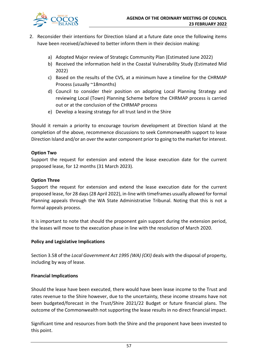

- 2. Reconsider their intentions for Direction Island at a future date once the following items have been received/achieved to better inform them in their decision making:
	- a) Adopted Major review of Strategic Community Plan (Estimated June 2022)
	- b) Received the information held in the Coastal Vulnerability Study (Estimated Mid 2022)
	- c) Based on the results of the CVS, at a minimum have a timeline for the CHRMAP Process (usually ~18months)
	- d) Council to consider their position on adopting Local Planning Strategy and reviewing Local (Town) Planning Scheme before the CHRMAP process is carried out or at the conclusion of the CHRMAP process
	- e) Develop a leasing strategy for all trust land in the Shire

Should it remain a priority to encourage tourism development at Direction Island at the completion of the above, recommence discussions to seek Commonwealth support to lease Direction Island and/or an over the water component prior to going to the market for interest.

### **Option Two**

Support the request for extension and extend the lease execution date for the current proposed lease, for 12 months (31 March 2023).

### **Option Three**

Support the request for extension and extend the lease execution date for the current proposed lease, for 28 days (28 April 2022), in-line with timeframes usually allowed for formal Planning appeals through the WA State Administrative Tribunal. Noting that this is not a formal appeals process.

It is important to note that should the proponent gain support during the extension period, the leases will move to the execution phase in line with the resolution of March 2020.

### **Policy and Legislative Implications**

Section 3.58 of the *Local Government Act 1995 (WA) (CKI)* deals with the disposal of property, including by way of lease.

### **Financial Implications**

Should the lease have been executed, there would have been lease income to the Trust and rates revenue to the Shire however, due to the uncertainty, these income streams have not been budgeted/forecast in the Trust/Shire 2021/22 Budget or future financial plans. The outcome of the Commonwealth not supporting the lease results in no direct financial impact.

Significant time and resources from both the Shire and the proponent have been invested to this point.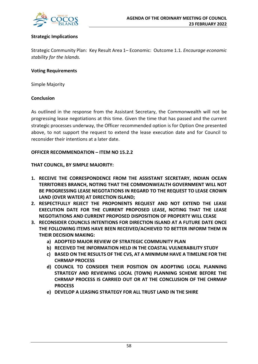

### **Strategic Implications**

Strategic Community Plan: Key Result Area 1– Economic: Outcome 1.1*. Encourage economic stability for the Islands.*

### **Voting Requirements**

Simple Majority

### **Conclusion**

As outlined in the response from the Assistant Secretary, the Commonwealth will not be progressing lease negotiations at this time. Given the time that has passed and the current strategic processes underway, the Officer recommended option is for Option One presented above, to not support the request to extend the lease execution date and for Council to reconsider their intentions at a later date.

### **OFFICER RECOMMENDATION – ITEM NO 15.2.2**

**THAT COUNCIL, BY SIMPLE MAJORITY:**

- **1. RECEIVE THE CORRESPONDENCE FROM THE ASSISTANT SECRETARY, INDIAN OCEAN TERRITORIES BRANCH, NOTING THAT THE COMMONWEALTH GOVERNMENT WILL NOT BE PROGRESSING LEASE NEGOTATIONS IN REGARD TO THE REQUEST TO LEASE CROWN LAND (OVER WATER) AT DIRECTION ISLAND;**
- **2. RESPECTFULLY REJECT THE PROPONENTS REQUEST AND NOT EXTEND THE LEASE EXECUTION DATE FOR THE CURRENT PROPOSED LEASE, NOTING THAT THE LEASE NEGOTIATIONS AND CURRENT PROPOSED DISPOSITION OF PROPERTY WILL CEASE**
- **3. RECONSIDER COUNCILS INTENTIONS FOR DIRECTION ISLAND AT A FUTURE DATE ONCE THE FOLLOWING ITEMS HAVE BEEN RECEIVED/ACHIEVED TO BETTER INFORM THEM IN THEIR DECISION MAKING:**
	- **a) ADOPTED MAJOR REVIEW OF STRATEGIC COMMUNITY PLAN**
	- **b) RECEIVED THE INFORMATION HELD IN THE COASTAL VULNERABILITY STUDY**
	- **c) BASED ON THE RESULTS OF THE CVS, AT A MINIMUM HAVE A TIMELINE FOR THE CHRMAP PROCESS**
	- **d) COUNCIL TO CONSIDER THEIR POSITION ON ADOPTING LOCAL PLANNING STRATEGY AND REVIEWING LOCAL (TOWN) PLANNING SCHEME BEFORE THE CHRMAP PROCESS IS CARRIED OUT OR AT THE CONCLUSION OF THE CHRMAP PROCESS**
	- **e) DEVELOP A LEASING STRATEGY FOR ALL TRUST LAND IN THE SHIRE**